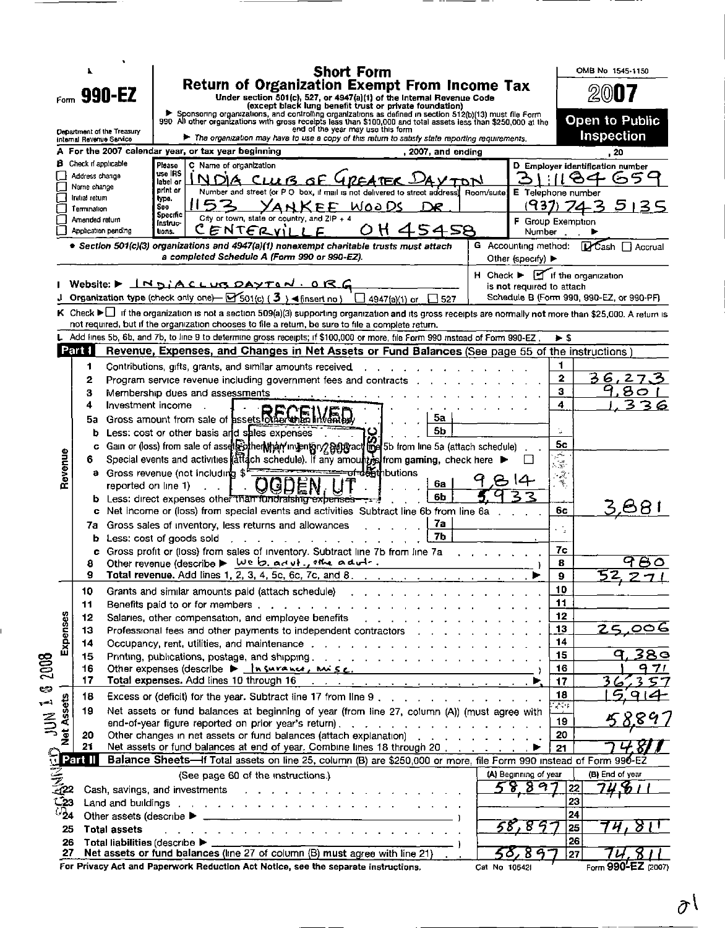| Return of Organization Exempt From Income Tax<br>2007<br>990-EZ<br>Under section 501(c), 527, or 4947(a)(1) of the Internal Revenue Code<br>Form.<br>(except black lung benefit trust or private foundation)<br>Sponsoring organizations, and controlling organizations as defined in section 512(b)(13) must file Form<br>990 All other organizations with gross receipts less than \$100,000 and total assets less than \$250,000 at the<br>Open to Public<br>end of the year may use this form<br><b>Oepartment of the Treasury</b><br><b>Inspection</b><br>The organization may have to use a copy of this return to satisfy state reporting requirements.<br>internal Revenue Service<br>A  For the 2007 calendar year, or tax year beginning<br>, 2007, and ending<br>, 20<br><b>B</b> Check n'applicable<br>Please<br>C Name of organization<br>D Employer identification number<br>use IRS<br>Address change<br>84<br>6<br>54<br>$CUB$ of $P$<br>label or<br>Name change<br>print or<br>Number and street (or P O box, if mail is not delivered to street address)<br>Room/suite<br>E Telephone number<br>Initial return<br>type.<br>5135<br><u>waa Ds</u><br>437)<br><b>YANKFF</b><br>See<br>Termination<br>Specific<br>City or town, state or country, and $ZIP + 4$<br>Amended return<br>F Group Exemption<br>instruc-<br>ENTERVILLE<br>458<br>Application pending<br>lions.<br>Number<br>G Accounting method:<br><b>D</b> Cash □ Accrual<br>• Section 501(c)(3) organizations and 4947(a)(1) nonexempt charitable trusts must attach<br>a completed Schedule A (Form 990 or 990-EZ).<br>Other (specify) $\blacktriangleright$<br>$H$ Check $\blacktriangleright$ $\blacksquare$ if the organization<br>Website: $\blacktriangleright$ $\bot$ N DiACLUB DAYTON. ORG<br>is not required to attach<br>Organization type (check only one) $\rightarrow$ 501(c) (3) $\rightarrow$ (insert no)<br>Schedule B (Form 990, 990-EZ, or 990-PF)<br>$\Box$ 4947(a)(1) or $\Box$ 527<br>K Check ► If the organization is not a section 509(a)(3) supporting organization and its gross receipts are normally not more than \$25,000. A return is<br>not required, but if the organization chooses to file a return, be sure to file a complete return.<br>Add lines 5b, 6b, and 7b, to line 9 to determine gross receipts; if \$100,000 or more, file Form 990 instead of Form 990-EZ.<br>∌ \$<br>Part I<br>Revenue, Expenses, and Changes in Net Assets or Fund Balances (See page 55 of the instructions)<br>1<br>1<br>Contributions, gifts, grants, and similar amounts received<br>3<br>6,<br>$\overline{2}$<br>27<br>2<br>Program service revenue including government fees and contracts [14].<br>80<br>з<br>з<br>Membership dues and assessments<br>3<br>4<br>4<br>Investment income<br>З<br>6<br>Gross amount from sale of assets other than invenible<br>5а<br>5a<br>5b<br>Less: cost or other basis and sales expenses<br>b<br>5c<br>Gain or (loss) from sale of assets other than invention gallering act line 5b from line 5a (attach schedule)<br>c<br>Revenue<br>$\frac{1}{2}$<br>Special events and activities (attach schedule). If any amount is from gaming, check here $\blacktriangleright$<br>6<br>$\frac{1}{2}$ , $\frac{1}{2}$<br><del>.of-d&amp;ft</del> hbutions<br>****************<br><b>a</b> Gross revenue (not including $\mathbf{\hat{s}}^t$<br>Æ<br>$\mathcal{R}_{\mathcal{C}_{\mathcal{C}}}$<br>6а<br>reported on line 1)<br>6b<br>Less: direct expenses other than fundraising expenses-<br>b<br>68.<br>Net income or (loss) from special events and activities Subtract line 6b from line 6a<br>6с<br>7а<br>Gross sales of inventory, less returns and allowances<br>7a<br>÷,<br>7b<br>Less: cost of goods sold<br>b<br>7с<br>Gross profit or (loss) from sales of inventory. Subtract line 7b from line 7a<br>c<br>980<br>Other revenue (describe $\blacktriangleright \frac{\omega e}{\omega}$ , ad $\upsilon \vdash \upsilon$ , the ad $\upsilon \vdash \upsilon$ .<br>8<br>8<br>Total revenue. Add lines 1, 2, 3, 4, 5c, 6c, 7c, and 8<br>9<br>۰<br>10<br>10<br>Grants and similar amounts paid (attach schedule)<br>11<br>11<br>Expenses<br>12<br>Salaries, other compensation, and employee benefits and an analyzing and an analyzing state of the state of the<br>12<br>13<br>25,006<br>13<br>14<br>14<br>15<br>15<br>Printing, publications, postage, and shipping. The substitution of the state of the state of the state of the<br>2003<br>Other expenses (describe $\triangleright$ $\frac{\ln \text{surface}}{\ln \text{surface}}$ , $\frac{\ln \text{surface}}{\ln \text{surface}}$ )<br>16<br>q<br>16<br>17<br>Total expenses. Add lines 10 through 16<br>17<br>అ<br>18<br>Excess or (deficit) for the year. Subtract line 17 from line 9<br>18<br>Assets<br>$\leftarrow$<br>$\mathcal{E} = \{ \}$<br>19<br>Net assets or fund balances at beginning of year (from line 27, column (A)) (must agree with<br>$rac{1}{2}$<br>19<br>end-of-year figure reported on prior year's return).<br>20<br>Other changes in net assets or fund balances (attach explanation)<br>20<br>Net assets or fund balances at end of year. Combine lines 18 through 20,<br>21<br>21<br>Part II<br>Balance Sheets-If Total assets on line 25, column (B) are \$250,000 or more, file Form 990 instead of Form 990-EZ<br>(A) Beginning of year<br>(B) End of year<br>(See page 60 of the instructions.)<br>5889<br>22<br>Cash, savings, and investments<br>the companies of the companies of the companies of<br>23<br>-23<br>Land and buildings the subset of the set of the set of the set of the set of the set of the set of the set of the set of the set of the set of the set of the set of the set of the set of the set of the set of the set of th<br>$J_{24}$<br>24<br>8<br>25<br>25<br><b>Total assets</b><br>26<br>Total liabilities (describe $\blacktriangleright$ _________<br>26<br>Net assets or fund balances (line 27 of column (B) must agree with line 21)<br>27<br>27<br>For Privacy Act and Paperwork Reduction Act Notice, see the separate instructions.<br>Form 990-EZ (2007)<br>Cat No 106421 |  |  |  |  | <b>Short Form</b> |  |  |  | OMB No 1545-1150 |     |
|------------------------------------------------------------------------------------------------------------------------------------------------------------------------------------------------------------------------------------------------------------------------------------------------------------------------------------------------------------------------------------------------------------------------------------------------------------------------------------------------------------------------------------------------------------------------------------------------------------------------------------------------------------------------------------------------------------------------------------------------------------------------------------------------------------------------------------------------------------------------------------------------------------------------------------------------------------------------------------------------------------------------------------------------------------------------------------------------------------------------------------------------------------------------------------------------------------------------------------------------------------------------------------------------------------------------------------------------------------------------------------------------------------------------------------------------------------------------------------------------------------------------------------------------------------------------------------------------------------------------------------------------------------------------------------------------------------------------------------------------------------------------------------------------------------------------------------------------------------------------------------------------------------------------------------------------------------------------------------------------------------------------------------------------------------------------------------------------------------------------------------------------------------------------------------------------------------------------------------------------------------------------------------------------------------------------------------------------------------------------------------------------------------------------------------------------------------------------------------------------------------------------------------------------------------------------------------------------------------------------------------------------------------------------------------------------------------------------------------------------------------------------------------------------------------------------------------------------------------------------------------------------------------------------------------------------------------------------------------------------------------------------------------------------------------------------------------------------------------------------------------------------------------------------------------------------------------------------------------------------------------------------------------------------------------------------------------------------------------------------------------------------------------------------------------------------------------------------------------------------------------------------------------------------------------------------------------------------------------------------------------------------------------------------------------------------------------------------------------------------------------------------------------------------------------------------------------------------------------------------------------------------------------------------------------------------------------------------------------------------------------------------------------------------------------------------------------------------------------------------------------------------------------------------------------------------------------------------------------------------------------------------------------------------------------------------------------------------------------------------------------------------------------------------------------------------------------------------------------------------------------------------------------------------------------------------------------------------------------------------------------------------------------------------------------------------------------------------------------------------------------------------------------------------------------------------------------------------------------------------------------------------------------------------------------------------------------------------------------------------------------------------------------------------------------------------------------------------------------------------------------------------------------------------------------------------------------------------------------------------------------------------------------------------------------------------------------------------------------------------------------------------------------------------------------------------------------------------------------------------------------------------------------------------------------------------------------------------------------------------------------------------------------------------------------------------------------------------------------------------------------------------------------------------------------------------------------------------------------------------------------------------------------------------------------------------------------------------------------------------------------------------------------------------------------------------------------------------------------------------------------------------------|--|--|--|--|-------------------|--|--|--|------------------|-----|
|                                                                                                                                                                                                                                                                                                                                                                                                                                                                                                                                                                                                                                                                                                                                                                                                                                                                                                                                                                                                                                                                                                                                                                                                                                                                                                                                                                                                                                                                                                                                                                                                                                                                                                                                                                                                                                                                                                                                                                                                                                                                                                                                                                                                                                                                                                                                                                                                                                                                                                                                                                                                                                                                                                                                                                                                                                                                                                                                                                                                                                                                                                                                                                                                                                                                                                                                                                                                                                                                                                                                                                                                                                                                                                                                                                                                                                                                                                                                                                                                                                                                                                                                                                                                                                                                                                                                                                                                                                                                                                                                                                                                                                                                                                                                                                                                                                                                                                                                                                                                                                                                                                                                                                                                                                                                                                                                                                                                                                                                                                                                                                                                                                                                                                                                                                                                                                                                                                                                                                                                                                                                                                                                                      |  |  |  |  |                   |  |  |  |                  |     |
|                                                                                                                                                                                                                                                                                                                                                                                                                                                                                                                                                                                                                                                                                                                                                                                                                                                                                                                                                                                                                                                                                                                                                                                                                                                                                                                                                                                                                                                                                                                                                                                                                                                                                                                                                                                                                                                                                                                                                                                                                                                                                                                                                                                                                                                                                                                                                                                                                                                                                                                                                                                                                                                                                                                                                                                                                                                                                                                                                                                                                                                                                                                                                                                                                                                                                                                                                                                                                                                                                                                                                                                                                                                                                                                                                                                                                                                                                                                                                                                                                                                                                                                                                                                                                                                                                                                                                                                                                                                                                                                                                                                                                                                                                                                                                                                                                                                                                                                                                                                                                                                                                                                                                                                                                                                                                                                                                                                                                                                                                                                                                                                                                                                                                                                                                                                                                                                                                                                                                                                                                                                                                                                                                      |  |  |  |  |                   |  |  |  |                  |     |
|                                                                                                                                                                                                                                                                                                                                                                                                                                                                                                                                                                                                                                                                                                                                                                                                                                                                                                                                                                                                                                                                                                                                                                                                                                                                                                                                                                                                                                                                                                                                                                                                                                                                                                                                                                                                                                                                                                                                                                                                                                                                                                                                                                                                                                                                                                                                                                                                                                                                                                                                                                                                                                                                                                                                                                                                                                                                                                                                                                                                                                                                                                                                                                                                                                                                                                                                                                                                                                                                                                                                                                                                                                                                                                                                                                                                                                                                                                                                                                                                                                                                                                                                                                                                                                                                                                                                                                                                                                                                                                                                                                                                                                                                                                                                                                                                                                                                                                                                                                                                                                                                                                                                                                                                                                                                                                                                                                                                                                                                                                                                                                                                                                                                                                                                                                                                                                                                                                                                                                                                                                                                                                                                                      |  |  |  |  |                   |  |  |  |                  |     |
|                                                                                                                                                                                                                                                                                                                                                                                                                                                                                                                                                                                                                                                                                                                                                                                                                                                                                                                                                                                                                                                                                                                                                                                                                                                                                                                                                                                                                                                                                                                                                                                                                                                                                                                                                                                                                                                                                                                                                                                                                                                                                                                                                                                                                                                                                                                                                                                                                                                                                                                                                                                                                                                                                                                                                                                                                                                                                                                                                                                                                                                                                                                                                                                                                                                                                                                                                                                                                                                                                                                                                                                                                                                                                                                                                                                                                                                                                                                                                                                                                                                                                                                                                                                                                                                                                                                                                                                                                                                                                                                                                                                                                                                                                                                                                                                                                                                                                                                                                                                                                                                                                                                                                                                                                                                                                                                                                                                                                                                                                                                                                                                                                                                                                                                                                                                                                                                                                                                                                                                                                                                                                                                                                      |  |  |  |  |                   |  |  |  |                  |     |
|                                                                                                                                                                                                                                                                                                                                                                                                                                                                                                                                                                                                                                                                                                                                                                                                                                                                                                                                                                                                                                                                                                                                                                                                                                                                                                                                                                                                                                                                                                                                                                                                                                                                                                                                                                                                                                                                                                                                                                                                                                                                                                                                                                                                                                                                                                                                                                                                                                                                                                                                                                                                                                                                                                                                                                                                                                                                                                                                                                                                                                                                                                                                                                                                                                                                                                                                                                                                                                                                                                                                                                                                                                                                                                                                                                                                                                                                                                                                                                                                                                                                                                                                                                                                                                                                                                                                                                                                                                                                                                                                                                                                                                                                                                                                                                                                                                                                                                                                                                                                                                                                                                                                                                                                                                                                                                                                                                                                                                                                                                                                                                                                                                                                                                                                                                                                                                                                                                                                                                                                                                                                                                                                                      |  |  |  |  |                   |  |  |  |                  |     |
|                                                                                                                                                                                                                                                                                                                                                                                                                                                                                                                                                                                                                                                                                                                                                                                                                                                                                                                                                                                                                                                                                                                                                                                                                                                                                                                                                                                                                                                                                                                                                                                                                                                                                                                                                                                                                                                                                                                                                                                                                                                                                                                                                                                                                                                                                                                                                                                                                                                                                                                                                                                                                                                                                                                                                                                                                                                                                                                                                                                                                                                                                                                                                                                                                                                                                                                                                                                                                                                                                                                                                                                                                                                                                                                                                                                                                                                                                                                                                                                                                                                                                                                                                                                                                                                                                                                                                                                                                                                                                                                                                                                                                                                                                                                                                                                                                                                                                                                                                                                                                                                                                                                                                                                                                                                                                                                                                                                                                                                                                                                                                                                                                                                                                                                                                                                                                                                                                                                                                                                                                                                                                                                                                      |  |  |  |  |                   |  |  |  |                  |     |
|                                                                                                                                                                                                                                                                                                                                                                                                                                                                                                                                                                                                                                                                                                                                                                                                                                                                                                                                                                                                                                                                                                                                                                                                                                                                                                                                                                                                                                                                                                                                                                                                                                                                                                                                                                                                                                                                                                                                                                                                                                                                                                                                                                                                                                                                                                                                                                                                                                                                                                                                                                                                                                                                                                                                                                                                                                                                                                                                                                                                                                                                                                                                                                                                                                                                                                                                                                                                                                                                                                                                                                                                                                                                                                                                                                                                                                                                                                                                                                                                                                                                                                                                                                                                                                                                                                                                                                                                                                                                                                                                                                                                                                                                                                                                                                                                                                                                                                                                                                                                                                                                                                                                                                                                                                                                                                                                                                                                                                                                                                                                                                                                                                                                                                                                                                                                                                                                                                                                                                                                                                                                                                                                                      |  |  |  |  |                   |  |  |  |                  |     |
|                                                                                                                                                                                                                                                                                                                                                                                                                                                                                                                                                                                                                                                                                                                                                                                                                                                                                                                                                                                                                                                                                                                                                                                                                                                                                                                                                                                                                                                                                                                                                                                                                                                                                                                                                                                                                                                                                                                                                                                                                                                                                                                                                                                                                                                                                                                                                                                                                                                                                                                                                                                                                                                                                                                                                                                                                                                                                                                                                                                                                                                                                                                                                                                                                                                                                                                                                                                                                                                                                                                                                                                                                                                                                                                                                                                                                                                                                                                                                                                                                                                                                                                                                                                                                                                                                                                                                                                                                                                                                                                                                                                                                                                                                                                                                                                                                                                                                                                                                                                                                                                                                                                                                                                                                                                                                                                                                                                                                                                                                                                                                                                                                                                                                                                                                                                                                                                                                                                                                                                                                                                                                                                                                      |  |  |  |  |                   |  |  |  |                  |     |
|                                                                                                                                                                                                                                                                                                                                                                                                                                                                                                                                                                                                                                                                                                                                                                                                                                                                                                                                                                                                                                                                                                                                                                                                                                                                                                                                                                                                                                                                                                                                                                                                                                                                                                                                                                                                                                                                                                                                                                                                                                                                                                                                                                                                                                                                                                                                                                                                                                                                                                                                                                                                                                                                                                                                                                                                                                                                                                                                                                                                                                                                                                                                                                                                                                                                                                                                                                                                                                                                                                                                                                                                                                                                                                                                                                                                                                                                                                                                                                                                                                                                                                                                                                                                                                                                                                                                                                                                                                                                                                                                                                                                                                                                                                                                                                                                                                                                                                                                                                                                                                                                                                                                                                                                                                                                                                                                                                                                                                                                                                                                                                                                                                                                                                                                                                                                                                                                                                                                                                                                                                                                                                                                                      |  |  |  |  |                   |  |  |  |                  |     |
|                                                                                                                                                                                                                                                                                                                                                                                                                                                                                                                                                                                                                                                                                                                                                                                                                                                                                                                                                                                                                                                                                                                                                                                                                                                                                                                                                                                                                                                                                                                                                                                                                                                                                                                                                                                                                                                                                                                                                                                                                                                                                                                                                                                                                                                                                                                                                                                                                                                                                                                                                                                                                                                                                                                                                                                                                                                                                                                                                                                                                                                                                                                                                                                                                                                                                                                                                                                                                                                                                                                                                                                                                                                                                                                                                                                                                                                                                                                                                                                                                                                                                                                                                                                                                                                                                                                                                                                                                                                                                                                                                                                                                                                                                                                                                                                                                                                                                                                                                                                                                                                                                                                                                                                                                                                                                                                                                                                                                                                                                                                                                                                                                                                                                                                                                                                                                                                                                                                                                                                                                                                                                                                                                      |  |  |  |  |                   |  |  |  |                  |     |
|                                                                                                                                                                                                                                                                                                                                                                                                                                                                                                                                                                                                                                                                                                                                                                                                                                                                                                                                                                                                                                                                                                                                                                                                                                                                                                                                                                                                                                                                                                                                                                                                                                                                                                                                                                                                                                                                                                                                                                                                                                                                                                                                                                                                                                                                                                                                                                                                                                                                                                                                                                                                                                                                                                                                                                                                                                                                                                                                                                                                                                                                                                                                                                                                                                                                                                                                                                                                                                                                                                                                                                                                                                                                                                                                                                                                                                                                                                                                                                                                                                                                                                                                                                                                                                                                                                                                                                                                                                                                                                                                                                                                                                                                                                                                                                                                                                                                                                                                                                                                                                                                                                                                                                                                                                                                                                                                                                                                                                                                                                                                                                                                                                                                                                                                                                                                                                                                                                                                                                                                                                                                                                                                                      |  |  |  |  |                   |  |  |  |                  |     |
|                                                                                                                                                                                                                                                                                                                                                                                                                                                                                                                                                                                                                                                                                                                                                                                                                                                                                                                                                                                                                                                                                                                                                                                                                                                                                                                                                                                                                                                                                                                                                                                                                                                                                                                                                                                                                                                                                                                                                                                                                                                                                                                                                                                                                                                                                                                                                                                                                                                                                                                                                                                                                                                                                                                                                                                                                                                                                                                                                                                                                                                                                                                                                                                                                                                                                                                                                                                                                                                                                                                                                                                                                                                                                                                                                                                                                                                                                                                                                                                                                                                                                                                                                                                                                                                                                                                                                                                                                                                                                                                                                                                                                                                                                                                                                                                                                                                                                                                                                                                                                                                                                                                                                                                                                                                                                                                                                                                                                                                                                                                                                                                                                                                                                                                                                                                                                                                                                                                                                                                                                                                                                                                                                      |  |  |  |  |                   |  |  |  |                  |     |
|                                                                                                                                                                                                                                                                                                                                                                                                                                                                                                                                                                                                                                                                                                                                                                                                                                                                                                                                                                                                                                                                                                                                                                                                                                                                                                                                                                                                                                                                                                                                                                                                                                                                                                                                                                                                                                                                                                                                                                                                                                                                                                                                                                                                                                                                                                                                                                                                                                                                                                                                                                                                                                                                                                                                                                                                                                                                                                                                                                                                                                                                                                                                                                                                                                                                                                                                                                                                                                                                                                                                                                                                                                                                                                                                                                                                                                                                                                                                                                                                                                                                                                                                                                                                                                                                                                                                                                                                                                                                                                                                                                                                                                                                                                                                                                                                                                                                                                                                                                                                                                                                                                                                                                                                                                                                                                                                                                                                                                                                                                                                                                                                                                                                                                                                                                                                                                                                                                                                                                                                                                                                                                                                                      |  |  |  |  |                   |  |  |  |                  |     |
|                                                                                                                                                                                                                                                                                                                                                                                                                                                                                                                                                                                                                                                                                                                                                                                                                                                                                                                                                                                                                                                                                                                                                                                                                                                                                                                                                                                                                                                                                                                                                                                                                                                                                                                                                                                                                                                                                                                                                                                                                                                                                                                                                                                                                                                                                                                                                                                                                                                                                                                                                                                                                                                                                                                                                                                                                                                                                                                                                                                                                                                                                                                                                                                                                                                                                                                                                                                                                                                                                                                                                                                                                                                                                                                                                                                                                                                                                                                                                                                                                                                                                                                                                                                                                                                                                                                                                                                                                                                                                                                                                                                                                                                                                                                                                                                                                                                                                                                                                                                                                                                                                                                                                                                                                                                                                                                                                                                                                                                                                                                                                                                                                                                                                                                                                                                                                                                                                                                                                                                                                                                                                                                                                      |  |  |  |  |                   |  |  |  |                  |     |
|                                                                                                                                                                                                                                                                                                                                                                                                                                                                                                                                                                                                                                                                                                                                                                                                                                                                                                                                                                                                                                                                                                                                                                                                                                                                                                                                                                                                                                                                                                                                                                                                                                                                                                                                                                                                                                                                                                                                                                                                                                                                                                                                                                                                                                                                                                                                                                                                                                                                                                                                                                                                                                                                                                                                                                                                                                                                                                                                                                                                                                                                                                                                                                                                                                                                                                                                                                                                                                                                                                                                                                                                                                                                                                                                                                                                                                                                                                                                                                                                                                                                                                                                                                                                                                                                                                                                                                                                                                                                                                                                                                                                                                                                                                                                                                                                                                                                                                                                                                                                                                                                                                                                                                                                                                                                                                                                                                                                                                                                                                                                                                                                                                                                                                                                                                                                                                                                                                                                                                                                                                                                                                                                                      |  |  |  |  |                   |  |  |  |                  |     |
|                                                                                                                                                                                                                                                                                                                                                                                                                                                                                                                                                                                                                                                                                                                                                                                                                                                                                                                                                                                                                                                                                                                                                                                                                                                                                                                                                                                                                                                                                                                                                                                                                                                                                                                                                                                                                                                                                                                                                                                                                                                                                                                                                                                                                                                                                                                                                                                                                                                                                                                                                                                                                                                                                                                                                                                                                                                                                                                                                                                                                                                                                                                                                                                                                                                                                                                                                                                                                                                                                                                                                                                                                                                                                                                                                                                                                                                                                                                                                                                                                                                                                                                                                                                                                                                                                                                                                                                                                                                                                                                                                                                                                                                                                                                                                                                                                                                                                                                                                                                                                                                                                                                                                                                                                                                                                                                                                                                                                                                                                                                                                                                                                                                                                                                                                                                                                                                                                                                                                                                                                                                                                                                                                      |  |  |  |  |                   |  |  |  |                  |     |
|                                                                                                                                                                                                                                                                                                                                                                                                                                                                                                                                                                                                                                                                                                                                                                                                                                                                                                                                                                                                                                                                                                                                                                                                                                                                                                                                                                                                                                                                                                                                                                                                                                                                                                                                                                                                                                                                                                                                                                                                                                                                                                                                                                                                                                                                                                                                                                                                                                                                                                                                                                                                                                                                                                                                                                                                                                                                                                                                                                                                                                                                                                                                                                                                                                                                                                                                                                                                                                                                                                                                                                                                                                                                                                                                                                                                                                                                                                                                                                                                                                                                                                                                                                                                                                                                                                                                                                                                                                                                                                                                                                                                                                                                                                                                                                                                                                                                                                                                                                                                                                                                                                                                                                                                                                                                                                                                                                                                                                                                                                                                                                                                                                                                                                                                                                                                                                                                                                                                                                                                                                                                                                                                                      |  |  |  |  |                   |  |  |  |                  |     |
|                                                                                                                                                                                                                                                                                                                                                                                                                                                                                                                                                                                                                                                                                                                                                                                                                                                                                                                                                                                                                                                                                                                                                                                                                                                                                                                                                                                                                                                                                                                                                                                                                                                                                                                                                                                                                                                                                                                                                                                                                                                                                                                                                                                                                                                                                                                                                                                                                                                                                                                                                                                                                                                                                                                                                                                                                                                                                                                                                                                                                                                                                                                                                                                                                                                                                                                                                                                                                                                                                                                                                                                                                                                                                                                                                                                                                                                                                                                                                                                                                                                                                                                                                                                                                                                                                                                                                                                                                                                                                                                                                                                                                                                                                                                                                                                                                                                                                                                                                                                                                                                                                                                                                                                                                                                                                                                                                                                                                                                                                                                                                                                                                                                                                                                                                                                                                                                                                                                                                                                                                                                                                                                                                      |  |  |  |  |                   |  |  |  |                  |     |
|                                                                                                                                                                                                                                                                                                                                                                                                                                                                                                                                                                                                                                                                                                                                                                                                                                                                                                                                                                                                                                                                                                                                                                                                                                                                                                                                                                                                                                                                                                                                                                                                                                                                                                                                                                                                                                                                                                                                                                                                                                                                                                                                                                                                                                                                                                                                                                                                                                                                                                                                                                                                                                                                                                                                                                                                                                                                                                                                                                                                                                                                                                                                                                                                                                                                                                                                                                                                                                                                                                                                                                                                                                                                                                                                                                                                                                                                                                                                                                                                                                                                                                                                                                                                                                                                                                                                                                                                                                                                                                                                                                                                                                                                                                                                                                                                                                                                                                                                                                                                                                                                                                                                                                                                                                                                                                                                                                                                                                                                                                                                                                                                                                                                                                                                                                                                                                                                                                                                                                                                                                                                                                                                                      |  |  |  |  |                   |  |  |  |                  |     |
|                                                                                                                                                                                                                                                                                                                                                                                                                                                                                                                                                                                                                                                                                                                                                                                                                                                                                                                                                                                                                                                                                                                                                                                                                                                                                                                                                                                                                                                                                                                                                                                                                                                                                                                                                                                                                                                                                                                                                                                                                                                                                                                                                                                                                                                                                                                                                                                                                                                                                                                                                                                                                                                                                                                                                                                                                                                                                                                                                                                                                                                                                                                                                                                                                                                                                                                                                                                                                                                                                                                                                                                                                                                                                                                                                                                                                                                                                                                                                                                                                                                                                                                                                                                                                                                                                                                                                                                                                                                                                                                                                                                                                                                                                                                                                                                                                                                                                                                                                                                                                                                                                                                                                                                                                                                                                                                                                                                                                                                                                                                                                                                                                                                                                                                                                                                                                                                                                                                                                                                                                                                                                                                                                      |  |  |  |  |                   |  |  |  |                  |     |
|                                                                                                                                                                                                                                                                                                                                                                                                                                                                                                                                                                                                                                                                                                                                                                                                                                                                                                                                                                                                                                                                                                                                                                                                                                                                                                                                                                                                                                                                                                                                                                                                                                                                                                                                                                                                                                                                                                                                                                                                                                                                                                                                                                                                                                                                                                                                                                                                                                                                                                                                                                                                                                                                                                                                                                                                                                                                                                                                                                                                                                                                                                                                                                                                                                                                                                                                                                                                                                                                                                                                                                                                                                                                                                                                                                                                                                                                                                                                                                                                                                                                                                                                                                                                                                                                                                                                                                                                                                                                                                                                                                                                                                                                                                                                                                                                                                                                                                                                                                                                                                                                                                                                                                                                                                                                                                                                                                                                                                                                                                                                                                                                                                                                                                                                                                                                                                                                                                                                                                                                                                                                                                                                                      |  |  |  |  |                   |  |  |  |                  |     |
|                                                                                                                                                                                                                                                                                                                                                                                                                                                                                                                                                                                                                                                                                                                                                                                                                                                                                                                                                                                                                                                                                                                                                                                                                                                                                                                                                                                                                                                                                                                                                                                                                                                                                                                                                                                                                                                                                                                                                                                                                                                                                                                                                                                                                                                                                                                                                                                                                                                                                                                                                                                                                                                                                                                                                                                                                                                                                                                                                                                                                                                                                                                                                                                                                                                                                                                                                                                                                                                                                                                                                                                                                                                                                                                                                                                                                                                                                                                                                                                                                                                                                                                                                                                                                                                                                                                                                                                                                                                                                                                                                                                                                                                                                                                                                                                                                                                                                                                                                                                                                                                                                                                                                                                                                                                                                                                                                                                                                                                                                                                                                                                                                                                                                                                                                                                                                                                                                                                                                                                                                                                                                                                                                      |  |  |  |  |                   |  |  |  |                  |     |
|                                                                                                                                                                                                                                                                                                                                                                                                                                                                                                                                                                                                                                                                                                                                                                                                                                                                                                                                                                                                                                                                                                                                                                                                                                                                                                                                                                                                                                                                                                                                                                                                                                                                                                                                                                                                                                                                                                                                                                                                                                                                                                                                                                                                                                                                                                                                                                                                                                                                                                                                                                                                                                                                                                                                                                                                                                                                                                                                                                                                                                                                                                                                                                                                                                                                                                                                                                                                                                                                                                                                                                                                                                                                                                                                                                                                                                                                                                                                                                                                                                                                                                                                                                                                                                                                                                                                                                                                                                                                                                                                                                                                                                                                                                                                                                                                                                                                                                                                                                                                                                                                                                                                                                                                                                                                                                                                                                                                                                                                                                                                                                                                                                                                                                                                                                                                                                                                                                                                                                                                                                                                                                                                                      |  |  |  |  |                   |  |  |  |                  |     |
|                                                                                                                                                                                                                                                                                                                                                                                                                                                                                                                                                                                                                                                                                                                                                                                                                                                                                                                                                                                                                                                                                                                                                                                                                                                                                                                                                                                                                                                                                                                                                                                                                                                                                                                                                                                                                                                                                                                                                                                                                                                                                                                                                                                                                                                                                                                                                                                                                                                                                                                                                                                                                                                                                                                                                                                                                                                                                                                                                                                                                                                                                                                                                                                                                                                                                                                                                                                                                                                                                                                                                                                                                                                                                                                                                                                                                                                                                                                                                                                                                                                                                                                                                                                                                                                                                                                                                                                                                                                                                                                                                                                                                                                                                                                                                                                                                                                                                                                                                                                                                                                                                                                                                                                                                                                                                                                                                                                                                                                                                                                                                                                                                                                                                                                                                                                                                                                                                                                                                                                                                                                                                                                                                      |  |  |  |  |                   |  |  |  |                  |     |
|                                                                                                                                                                                                                                                                                                                                                                                                                                                                                                                                                                                                                                                                                                                                                                                                                                                                                                                                                                                                                                                                                                                                                                                                                                                                                                                                                                                                                                                                                                                                                                                                                                                                                                                                                                                                                                                                                                                                                                                                                                                                                                                                                                                                                                                                                                                                                                                                                                                                                                                                                                                                                                                                                                                                                                                                                                                                                                                                                                                                                                                                                                                                                                                                                                                                                                                                                                                                                                                                                                                                                                                                                                                                                                                                                                                                                                                                                                                                                                                                                                                                                                                                                                                                                                                                                                                                                                                                                                                                                                                                                                                                                                                                                                                                                                                                                                                                                                                                                                                                                                                                                                                                                                                                                                                                                                                                                                                                                                                                                                                                                                                                                                                                                                                                                                                                                                                                                                                                                                                                                                                                                                                                                      |  |  |  |  |                   |  |  |  |                  |     |
|                                                                                                                                                                                                                                                                                                                                                                                                                                                                                                                                                                                                                                                                                                                                                                                                                                                                                                                                                                                                                                                                                                                                                                                                                                                                                                                                                                                                                                                                                                                                                                                                                                                                                                                                                                                                                                                                                                                                                                                                                                                                                                                                                                                                                                                                                                                                                                                                                                                                                                                                                                                                                                                                                                                                                                                                                                                                                                                                                                                                                                                                                                                                                                                                                                                                                                                                                                                                                                                                                                                                                                                                                                                                                                                                                                                                                                                                                                                                                                                                                                                                                                                                                                                                                                                                                                                                                                                                                                                                                                                                                                                                                                                                                                                                                                                                                                                                                                                                                                                                                                                                                                                                                                                                                                                                                                                                                                                                                                                                                                                                                                                                                                                                                                                                                                                                                                                                                                                                                                                                                                                                                                                                                      |  |  |  |  |                   |  |  |  |                  |     |
|                                                                                                                                                                                                                                                                                                                                                                                                                                                                                                                                                                                                                                                                                                                                                                                                                                                                                                                                                                                                                                                                                                                                                                                                                                                                                                                                                                                                                                                                                                                                                                                                                                                                                                                                                                                                                                                                                                                                                                                                                                                                                                                                                                                                                                                                                                                                                                                                                                                                                                                                                                                                                                                                                                                                                                                                                                                                                                                                                                                                                                                                                                                                                                                                                                                                                                                                                                                                                                                                                                                                                                                                                                                                                                                                                                                                                                                                                                                                                                                                                                                                                                                                                                                                                                                                                                                                                                                                                                                                                                                                                                                                                                                                                                                                                                                                                                                                                                                                                                                                                                                                                                                                                                                                                                                                                                                                                                                                                                                                                                                                                                                                                                                                                                                                                                                                                                                                                                                                                                                                                                                                                                                                                      |  |  |  |  |                   |  |  |  |                  |     |
|                                                                                                                                                                                                                                                                                                                                                                                                                                                                                                                                                                                                                                                                                                                                                                                                                                                                                                                                                                                                                                                                                                                                                                                                                                                                                                                                                                                                                                                                                                                                                                                                                                                                                                                                                                                                                                                                                                                                                                                                                                                                                                                                                                                                                                                                                                                                                                                                                                                                                                                                                                                                                                                                                                                                                                                                                                                                                                                                                                                                                                                                                                                                                                                                                                                                                                                                                                                                                                                                                                                                                                                                                                                                                                                                                                                                                                                                                                                                                                                                                                                                                                                                                                                                                                                                                                                                                                                                                                                                                                                                                                                                                                                                                                                                                                                                                                                                                                                                                                                                                                                                                                                                                                                                                                                                                                                                                                                                                                                                                                                                                                                                                                                                                                                                                                                                                                                                                                                                                                                                                                                                                                                                                      |  |  |  |  |                   |  |  |  |                  |     |
|                                                                                                                                                                                                                                                                                                                                                                                                                                                                                                                                                                                                                                                                                                                                                                                                                                                                                                                                                                                                                                                                                                                                                                                                                                                                                                                                                                                                                                                                                                                                                                                                                                                                                                                                                                                                                                                                                                                                                                                                                                                                                                                                                                                                                                                                                                                                                                                                                                                                                                                                                                                                                                                                                                                                                                                                                                                                                                                                                                                                                                                                                                                                                                                                                                                                                                                                                                                                                                                                                                                                                                                                                                                                                                                                                                                                                                                                                                                                                                                                                                                                                                                                                                                                                                                                                                                                                                                                                                                                                                                                                                                                                                                                                                                                                                                                                                                                                                                                                                                                                                                                                                                                                                                                                                                                                                                                                                                                                                                                                                                                                                                                                                                                                                                                                                                                                                                                                                                                                                                                                                                                                                                                                      |  |  |  |  |                   |  |  |  |                  |     |
|                                                                                                                                                                                                                                                                                                                                                                                                                                                                                                                                                                                                                                                                                                                                                                                                                                                                                                                                                                                                                                                                                                                                                                                                                                                                                                                                                                                                                                                                                                                                                                                                                                                                                                                                                                                                                                                                                                                                                                                                                                                                                                                                                                                                                                                                                                                                                                                                                                                                                                                                                                                                                                                                                                                                                                                                                                                                                                                                                                                                                                                                                                                                                                                                                                                                                                                                                                                                                                                                                                                                                                                                                                                                                                                                                                                                                                                                                                                                                                                                                                                                                                                                                                                                                                                                                                                                                                                                                                                                                                                                                                                                                                                                                                                                                                                                                                                                                                                                                                                                                                                                                                                                                                                                                                                                                                                                                                                                                                                                                                                                                                                                                                                                                                                                                                                                                                                                                                                                                                                                                                                                                                                                                      |  |  |  |  |                   |  |  |  |                  |     |
|                                                                                                                                                                                                                                                                                                                                                                                                                                                                                                                                                                                                                                                                                                                                                                                                                                                                                                                                                                                                                                                                                                                                                                                                                                                                                                                                                                                                                                                                                                                                                                                                                                                                                                                                                                                                                                                                                                                                                                                                                                                                                                                                                                                                                                                                                                                                                                                                                                                                                                                                                                                                                                                                                                                                                                                                                                                                                                                                                                                                                                                                                                                                                                                                                                                                                                                                                                                                                                                                                                                                                                                                                                                                                                                                                                                                                                                                                                                                                                                                                                                                                                                                                                                                                                                                                                                                                                                                                                                                                                                                                                                                                                                                                                                                                                                                                                                                                                                                                                                                                                                                                                                                                                                                                                                                                                                                                                                                                                                                                                                                                                                                                                                                                                                                                                                                                                                                                                                                                                                                                                                                                                                                                      |  |  |  |  |                   |  |  |  |                  |     |
|                                                                                                                                                                                                                                                                                                                                                                                                                                                                                                                                                                                                                                                                                                                                                                                                                                                                                                                                                                                                                                                                                                                                                                                                                                                                                                                                                                                                                                                                                                                                                                                                                                                                                                                                                                                                                                                                                                                                                                                                                                                                                                                                                                                                                                                                                                                                                                                                                                                                                                                                                                                                                                                                                                                                                                                                                                                                                                                                                                                                                                                                                                                                                                                                                                                                                                                                                                                                                                                                                                                                                                                                                                                                                                                                                                                                                                                                                                                                                                                                                                                                                                                                                                                                                                                                                                                                                                                                                                                                                                                                                                                                                                                                                                                                                                                                                                                                                                                                                                                                                                                                                                                                                                                                                                                                                                                                                                                                                                                                                                                                                                                                                                                                                                                                                                                                                                                                                                                                                                                                                                                                                                                                                      |  |  |  |  |                   |  |  |  |                  |     |
|                                                                                                                                                                                                                                                                                                                                                                                                                                                                                                                                                                                                                                                                                                                                                                                                                                                                                                                                                                                                                                                                                                                                                                                                                                                                                                                                                                                                                                                                                                                                                                                                                                                                                                                                                                                                                                                                                                                                                                                                                                                                                                                                                                                                                                                                                                                                                                                                                                                                                                                                                                                                                                                                                                                                                                                                                                                                                                                                                                                                                                                                                                                                                                                                                                                                                                                                                                                                                                                                                                                                                                                                                                                                                                                                                                                                                                                                                                                                                                                                                                                                                                                                                                                                                                                                                                                                                                                                                                                                                                                                                                                                                                                                                                                                                                                                                                                                                                                                                                                                                                                                                                                                                                                                                                                                                                                                                                                                                                                                                                                                                                                                                                                                                                                                                                                                                                                                                                                                                                                                                                                                                                                                                      |  |  |  |  |                   |  |  |  |                  |     |
|                                                                                                                                                                                                                                                                                                                                                                                                                                                                                                                                                                                                                                                                                                                                                                                                                                                                                                                                                                                                                                                                                                                                                                                                                                                                                                                                                                                                                                                                                                                                                                                                                                                                                                                                                                                                                                                                                                                                                                                                                                                                                                                                                                                                                                                                                                                                                                                                                                                                                                                                                                                                                                                                                                                                                                                                                                                                                                                                                                                                                                                                                                                                                                                                                                                                                                                                                                                                                                                                                                                                                                                                                                                                                                                                                                                                                                                                                                                                                                                                                                                                                                                                                                                                                                                                                                                                                                                                                                                                                                                                                                                                                                                                                                                                                                                                                                                                                                                                                                                                                                                                                                                                                                                                                                                                                                                                                                                                                                                                                                                                                                                                                                                                                                                                                                                                                                                                                                                                                                                                                                                                                                                                                      |  |  |  |  |                   |  |  |  |                  |     |
|                                                                                                                                                                                                                                                                                                                                                                                                                                                                                                                                                                                                                                                                                                                                                                                                                                                                                                                                                                                                                                                                                                                                                                                                                                                                                                                                                                                                                                                                                                                                                                                                                                                                                                                                                                                                                                                                                                                                                                                                                                                                                                                                                                                                                                                                                                                                                                                                                                                                                                                                                                                                                                                                                                                                                                                                                                                                                                                                                                                                                                                                                                                                                                                                                                                                                                                                                                                                                                                                                                                                                                                                                                                                                                                                                                                                                                                                                                                                                                                                                                                                                                                                                                                                                                                                                                                                                                                                                                                                                                                                                                                                                                                                                                                                                                                                                                                                                                                                                                                                                                                                                                                                                                                                                                                                                                                                                                                                                                                                                                                                                                                                                                                                                                                                                                                                                                                                                                                                                                                                                                                                                                                                                      |  |  |  |  |                   |  |  |  |                  |     |
|                                                                                                                                                                                                                                                                                                                                                                                                                                                                                                                                                                                                                                                                                                                                                                                                                                                                                                                                                                                                                                                                                                                                                                                                                                                                                                                                                                                                                                                                                                                                                                                                                                                                                                                                                                                                                                                                                                                                                                                                                                                                                                                                                                                                                                                                                                                                                                                                                                                                                                                                                                                                                                                                                                                                                                                                                                                                                                                                                                                                                                                                                                                                                                                                                                                                                                                                                                                                                                                                                                                                                                                                                                                                                                                                                                                                                                                                                                                                                                                                                                                                                                                                                                                                                                                                                                                                                                                                                                                                                                                                                                                                                                                                                                                                                                                                                                                                                                                                                                                                                                                                                                                                                                                                                                                                                                                                                                                                                                                                                                                                                                                                                                                                                                                                                                                                                                                                                                                                                                                                                                                                                                                                                      |  |  |  |  |                   |  |  |  |                  |     |
|                                                                                                                                                                                                                                                                                                                                                                                                                                                                                                                                                                                                                                                                                                                                                                                                                                                                                                                                                                                                                                                                                                                                                                                                                                                                                                                                                                                                                                                                                                                                                                                                                                                                                                                                                                                                                                                                                                                                                                                                                                                                                                                                                                                                                                                                                                                                                                                                                                                                                                                                                                                                                                                                                                                                                                                                                                                                                                                                                                                                                                                                                                                                                                                                                                                                                                                                                                                                                                                                                                                                                                                                                                                                                                                                                                                                                                                                                                                                                                                                                                                                                                                                                                                                                                                                                                                                                                                                                                                                                                                                                                                                                                                                                                                                                                                                                                                                                                                                                                                                                                                                                                                                                                                                                                                                                                                                                                                                                                                                                                                                                                                                                                                                                                                                                                                                                                                                                                                                                                                                                                                                                                                                                      |  |  |  |  |                   |  |  |  |                  | 380 |
|                                                                                                                                                                                                                                                                                                                                                                                                                                                                                                                                                                                                                                                                                                                                                                                                                                                                                                                                                                                                                                                                                                                                                                                                                                                                                                                                                                                                                                                                                                                                                                                                                                                                                                                                                                                                                                                                                                                                                                                                                                                                                                                                                                                                                                                                                                                                                                                                                                                                                                                                                                                                                                                                                                                                                                                                                                                                                                                                                                                                                                                                                                                                                                                                                                                                                                                                                                                                                                                                                                                                                                                                                                                                                                                                                                                                                                                                                                                                                                                                                                                                                                                                                                                                                                                                                                                                                                                                                                                                                                                                                                                                                                                                                                                                                                                                                                                                                                                                                                                                                                                                                                                                                                                                                                                                                                                                                                                                                                                                                                                                                                                                                                                                                                                                                                                                                                                                                                                                                                                                                                                                                                                                                      |  |  |  |  |                   |  |  |  |                  | 71  |
|                                                                                                                                                                                                                                                                                                                                                                                                                                                                                                                                                                                                                                                                                                                                                                                                                                                                                                                                                                                                                                                                                                                                                                                                                                                                                                                                                                                                                                                                                                                                                                                                                                                                                                                                                                                                                                                                                                                                                                                                                                                                                                                                                                                                                                                                                                                                                                                                                                                                                                                                                                                                                                                                                                                                                                                                                                                                                                                                                                                                                                                                                                                                                                                                                                                                                                                                                                                                                                                                                                                                                                                                                                                                                                                                                                                                                                                                                                                                                                                                                                                                                                                                                                                                                                                                                                                                                                                                                                                                                                                                                                                                                                                                                                                                                                                                                                                                                                                                                                                                                                                                                                                                                                                                                                                                                                                                                                                                                                                                                                                                                                                                                                                                                                                                                                                                                                                                                                                                                                                                                                                                                                                                                      |  |  |  |  |                   |  |  |  |                  |     |
|                                                                                                                                                                                                                                                                                                                                                                                                                                                                                                                                                                                                                                                                                                                                                                                                                                                                                                                                                                                                                                                                                                                                                                                                                                                                                                                                                                                                                                                                                                                                                                                                                                                                                                                                                                                                                                                                                                                                                                                                                                                                                                                                                                                                                                                                                                                                                                                                                                                                                                                                                                                                                                                                                                                                                                                                                                                                                                                                                                                                                                                                                                                                                                                                                                                                                                                                                                                                                                                                                                                                                                                                                                                                                                                                                                                                                                                                                                                                                                                                                                                                                                                                                                                                                                                                                                                                                                                                                                                                                                                                                                                                                                                                                                                                                                                                                                                                                                                                                                                                                                                                                                                                                                                                                                                                                                                                                                                                                                                                                                                                                                                                                                                                                                                                                                                                                                                                                                                                                                                                                                                                                                                                                      |  |  |  |  |                   |  |  |  |                  |     |
|                                                                                                                                                                                                                                                                                                                                                                                                                                                                                                                                                                                                                                                                                                                                                                                                                                                                                                                                                                                                                                                                                                                                                                                                                                                                                                                                                                                                                                                                                                                                                                                                                                                                                                                                                                                                                                                                                                                                                                                                                                                                                                                                                                                                                                                                                                                                                                                                                                                                                                                                                                                                                                                                                                                                                                                                                                                                                                                                                                                                                                                                                                                                                                                                                                                                                                                                                                                                                                                                                                                                                                                                                                                                                                                                                                                                                                                                                                                                                                                                                                                                                                                                                                                                                                                                                                                                                                                                                                                                                                                                                                                                                                                                                                                                                                                                                                                                                                                                                                                                                                                                                                                                                                                                                                                                                                                                                                                                                                                                                                                                                                                                                                                                                                                                                                                                                                                                                                                                                                                                                                                                                                                                                      |  |  |  |  |                   |  |  |  |                  |     |
|                                                                                                                                                                                                                                                                                                                                                                                                                                                                                                                                                                                                                                                                                                                                                                                                                                                                                                                                                                                                                                                                                                                                                                                                                                                                                                                                                                                                                                                                                                                                                                                                                                                                                                                                                                                                                                                                                                                                                                                                                                                                                                                                                                                                                                                                                                                                                                                                                                                                                                                                                                                                                                                                                                                                                                                                                                                                                                                                                                                                                                                                                                                                                                                                                                                                                                                                                                                                                                                                                                                                                                                                                                                                                                                                                                                                                                                                                                                                                                                                                                                                                                                                                                                                                                                                                                                                                                                                                                                                                                                                                                                                                                                                                                                                                                                                                                                                                                                                                                                                                                                                                                                                                                                                                                                                                                                                                                                                                                                                                                                                                                                                                                                                                                                                                                                                                                                                                                                                                                                                                                                                                                                                                      |  |  |  |  |                   |  |  |  |                  |     |
|                                                                                                                                                                                                                                                                                                                                                                                                                                                                                                                                                                                                                                                                                                                                                                                                                                                                                                                                                                                                                                                                                                                                                                                                                                                                                                                                                                                                                                                                                                                                                                                                                                                                                                                                                                                                                                                                                                                                                                                                                                                                                                                                                                                                                                                                                                                                                                                                                                                                                                                                                                                                                                                                                                                                                                                                                                                                                                                                                                                                                                                                                                                                                                                                                                                                                                                                                                                                                                                                                                                                                                                                                                                                                                                                                                                                                                                                                                                                                                                                                                                                                                                                                                                                                                                                                                                                                                                                                                                                                                                                                                                                                                                                                                                                                                                                                                                                                                                                                                                                                                                                                                                                                                                                                                                                                                                                                                                                                                                                                                                                                                                                                                                                                                                                                                                                                                                                                                                                                                                                                                                                                                                                                      |  |  |  |  |                   |  |  |  |                  |     |
|                                                                                                                                                                                                                                                                                                                                                                                                                                                                                                                                                                                                                                                                                                                                                                                                                                                                                                                                                                                                                                                                                                                                                                                                                                                                                                                                                                                                                                                                                                                                                                                                                                                                                                                                                                                                                                                                                                                                                                                                                                                                                                                                                                                                                                                                                                                                                                                                                                                                                                                                                                                                                                                                                                                                                                                                                                                                                                                                                                                                                                                                                                                                                                                                                                                                                                                                                                                                                                                                                                                                                                                                                                                                                                                                                                                                                                                                                                                                                                                                                                                                                                                                                                                                                                                                                                                                                                                                                                                                                                                                                                                                                                                                                                                                                                                                                                                                                                                                                                                                                                                                                                                                                                                                                                                                                                                                                                                                                                                                                                                                                                                                                                                                                                                                                                                                                                                                                                                                                                                                                                                                                                                                                      |  |  |  |  |                   |  |  |  |                  |     |
|                                                                                                                                                                                                                                                                                                                                                                                                                                                                                                                                                                                                                                                                                                                                                                                                                                                                                                                                                                                                                                                                                                                                                                                                                                                                                                                                                                                                                                                                                                                                                                                                                                                                                                                                                                                                                                                                                                                                                                                                                                                                                                                                                                                                                                                                                                                                                                                                                                                                                                                                                                                                                                                                                                                                                                                                                                                                                                                                                                                                                                                                                                                                                                                                                                                                                                                                                                                                                                                                                                                                                                                                                                                                                                                                                                                                                                                                                                                                                                                                                                                                                                                                                                                                                                                                                                                                                                                                                                                                                                                                                                                                                                                                                                                                                                                                                                                                                                                                                                                                                                                                                                                                                                                                                                                                                                                                                                                                                                                                                                                                                                                                                                                                                                                                                                                                                                                                                                                                                                                                                                                                                                                                                      |  |  |  |  |                   |  |  |  |                  |     |
|                                                                                                                                                                                                                                                                                                                                                                                                                                                                                                                                                                                                                                                                                                                                                                                                                                                                                                                                                                                                                                                                                                                                                                                                                                                                                                                                                                                                                                                                                                                                                                                                                                                                                                                                                                                                                                                                                                                                                                                                                                                                                                                                                                                                                                                                                                                                                                                                                                                                                                                                                                                                                                                                                                                                                                                                                                                                                                                                                                                                                                                                                                                                                                                                                                                                                                                                                                                                                                                                                                                                                                                                                                                                                                                                                                                                                                                                                                                                                                                                                                                                                                                                                                                                                                                                                                                                                                                                                                                                                                                                                                                                                                                                                                                                                                                                                                                                                                                                                                                                                                                                                                                                                                                                                                                                                                                                                                                                                                                                                                                                                                                                                                                                                                                                                                                                                                                                                                                                                                                                                                                                                                                                                      |  |  |  |  |                   |  |  |  |                  |     |
|                                                                                                                                                                                                                                                                                                                                                                                                                                                                                                                                                                                                                                                                                                                                                                                                                                                                                                                                                                                                                                                                                                                                                                                                                                                                                                                                                                                                                                                                                                                                                                                                                                                                                                                                                                                                                                                                                                                                                                                                                                                                                                                                                                                                                                                                                                                                                                                                                                                                                                                                                                                                                                                                                                                                                                                                                                                                                                                                                                                                                                                                                                                                                                                                                                                                                                                                                                                                                                                                                                                                                                                                                                                                                                                                                                                                                                                                                                                                                                                                                                                                                                                                                                                                                                                                                                                                                                                                                                                                                                                                                                                                                                                                                                                                                                                                                                                                                                                                                                                                                                                                                                                                                                                                                                                                                                                                                                                                                                                                                                                                                                                                                                                                                                                                                                                                                                                                                                                                                                                                                                                                                                                                                      |  |  |  |  |                   |  |  |  |                  |     |
|                                                                                                                                                                                                                                                                                                                                                                                                                                                                                                                                                                                                                                                                                                                                                                                                                                                                                                                                                                                                                                                                                                                                                                                                                                                                                                                                                                                                                                                                                                                                                                                                                                                                                                                                                                                                                                                                                                                                                                                                                                                                                                                                                                                                                                                                                                                                                                                                                                                                                                                                                                                                                                                                                                                                                                                                                                                                                                                                                                                                                                                                                                                                                                                                                                                                                                                                                                                                                                                                                                                                                                                                                                                                                                                                                                                                                                                                                                                                                                                                                                                                                                                                                                                                                                                                                                                                                                                                                                                                                                                                                                                                                                                                                                                                                                                                                                                                                                                                                                                                                                                                                                                                                                                                                                                                                                                                                                                                                                                                                                                                                                                                                                                                                                                                                                                                                                                                                                                                                                                                                                                                                                                                                      |  |  |  |  |                   |  |  |  |                  |     |
|                                                                                                                                                                                                                                                                                                                                                                                                                                                                                                                                                                                                                                                                                                                                                                                                                                                                                                                                                                                                                                                                                                                                                                                                                                                                                                                                                                                                                                                                                                                                                                                                                                                                                                                                                                                                                                                                                                                                                                                                                                                                                                                                                                                                                                                                                                                                                                                                                                                                                                                                                                                                                                                                                                                                                                                                                                                                                                                                                                                                                                                                                                                                                                                                                                                                                                                                                                                                                                                                                                                                                                                                                                                                                                                                                                                                                                                                                                                                                                                                                                                                                                                                                                                                                                                                                                                                                                                                                                                                                                                                                                                                                                                                                                                                                                                                                                                                                                                                                                                                                                                                                                                                                                                                                                                                                                                                                                                                                                                                                                                                                                                                                                                                                                                                                                                                                                                                                                                                                                                                                                                                                                                                                      |  |  |  |  |                   |  |  |  |                  |     |
|                                                                                                                                                                                                                                                                                                                                                                                                                                                                                                                                                                                                                                                                                                                                                                                                                                                                                                                                                                                                                                                                                                                                                                                                                                                                                                                                                                                                                                                                                                                                                                                                                                                                                                                                                                                                                                                                                                                                                                                                                                                                                                                                                                                                                                                                                                                                                                                                                                                                                                                                                                                                                                                                                                                                                                                                                                                                                                                                                                                                                                                                                                                                                                                                                                                                                                                                                                                                                                                                                                                                                                                                                                                                                                                                                                                                                                                                                                                                                                                                                                                                                                                                                                                                                                                                                                                                                                                                                                                                                                                                                                                                                                                                                                                                                                                                                                                                                                                                                                                                                                                                                                                                                                                                                                                                                                                                                                                                                                                                                                                                                                                                                                                                                                                                                                                                                                                                                                                                                                                                                                                                                                                                                      |  |  |  |  |                   |  |  |  |                  |     |
|                                                                                                                                                                                                                                                                                                                                                                                                                                                                                                                                                                                                                                                                                                                                                                                                                                                                                                                                                                                                                                                                                                                                                                                                                                                                                                                                                                                                                                                                                                                                                                                                                                                                                                                                                                                                                                                                                                                                                                                                                                                                                                                                                                                                                                                                                                                                                                                                                                                                                                                                                                                                                                                                                                                                                                                                                                                                                                                                                                                                                                                                                                                                                                                                                                                                                                                                                                                                                                                                                                                                                                                                                                                                                                                                                                                                                                                                                                                                                                                                                                                                                                                                                                                                                                                                                                                                                                                                                                                                                                                                                                                                                                                                                                                                                                                                                                                                                                                                                                                                                                                                                                                                                                                                                                                                                                                                                                                                                                                                                                                                                                                                                                                                                                                                                                                                                                                                                                                                                                                                                                                                                                                                                      |  |  |  |  |                   |  |  |  |                  |     |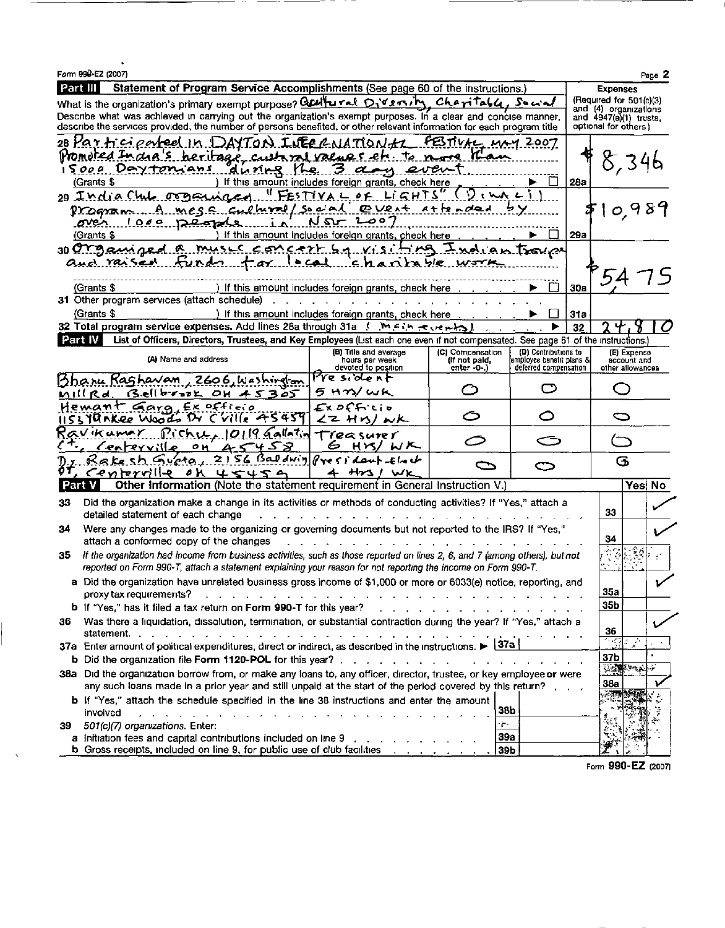|          | Form 990-EZ (2007)                                                                                                                              |                                                      |                                                                                                                                                                                                                                      |                                                   |     |                                                   | Page 2    |
|----------|-------------------------------------------------------------------------------------------------------------------------------------------------|------------------------------------------------------|--------------------------------------------------------------------------------------------------------------------------------------------------------------------------------------------------------------------------------------|---------------------------------------------------|-----|---------------------------------------------------|-----------|
| Part III | Statement of Program Service Accomplishments (See page 60 of the instructions.)                                                                 |                                                      |                                                                                                                                                                                                                                      |                                                   |     | <b>Expenses</b>                                   |           |
|          | What is the organization's primary exempt purpose? Gallutal Diversity Charitall. So wal                                                         |                                                      |                                                                                                                                                                                                                                      |                                                   |     | (Required for 501(c)(3)                           |           |
|          | Describe what was achieved in carrying out the organization's exempt purposes. In a clear and concise manner,                                   |                                                      |                                                                                                                                                                                                                                      |                                                   |     | and (4) organizations<br>and $4947(a)(1)$ trusts. |           |
|          | describe the services provided, the number of persons benefited, or other relevant information for each program title                           |                                                      |                                                                                                                                                                                                                                      |                                                   |     | optional for others)                              |           |
|          | 28 Participated In DAYTON INECRNATIONAL                                                                                                         |                                                      | FBTIVAL MAY 2007                                                                                                                                                                                                                     |                                                   |     |                                                   |           |
|          | Promoted India's heritage customed values etc. to note                                                                                          |                                                      | سعسا                                                                                                                                                                                                                                 |                                                   |     | ८, ३४६                                            |           |
|          | 15000 Devtonians                                                                                                                                | during the 3 days event                              |                                                                                                                                                                                                                                      |                                                   |     |                                                   |           |
|          | (Grants \$                                                                                                                                      | If this amount includes foreign grants, check here   |                                                                                                                                                                                                                                      |                                                   | 28a |                                                   |           |
|          | 29 India Chile organized                                                                                                                        | FESTIVAL OF<br>CHTS                                  |                                                                                                                                                                                                                                      |                                                   |     |                                                   |           |
|          | Program A mess cultural/                                                                                                                        | <b>COVENT</b><br>لمحنومي<br>2<br>ہ ت                 | $A + f x \wedge d$ ed                                                                                                                                                                                                                |                                                   |     | 0 9                                               | Β         |
|          | <u>over 1000 people</u><br>(Grants \$                                                                                                           | If this amount includes foreign grants, check here   |                                                                                                                                                                                                                                      |                                                   | 29a |                                                   |           |
|          | 30 CM Samard                                                                                                                                    | <u>s concert by visit</u>                            |                                                                                                                                                                                                                                      |                                                   |     |                                                   |           |
|          | and raised                                                                                                                                      | <u>lecal chan</u>                                    |                                                                                                                                                                                                                                      | <u>ian Trover</u>                                 |     |                                                   |           |
|          |                                                                                                                                                 |                                                      |                                                                                                                                                                                                                                      |                                                   |     |                                                   |           |
|          | (Grants \$                                                                                                                                      | ) If this amount includes foreign grants, check here |                                                                                                                                                                                                                                      |                                                   | 30a |                                                   |           |
|          | 31 Other program services (attach schedule)                                                                                                     |                                                      |                                                                                                                                                                                                                                      |                                                   |     |                                                   |           |
|          | (Grants \$                                                                                                                                      | ) If this amount includes foreign grants, check here |                                                                                                                                                                                                                                      |                                                   | 31a |                                                   |           |
|          | 32 Total program service expenses. Add lines 28a through 31a . ( . ) M. F. Le Je H. S                                                           |                                                      |                                                                                                                                                                                                                                      |                                                   | 32  |                                                   |           |
| Part IV  | List of Officers, Directors, Trustees, and Key Employees (List each one even if not compensated. See page 61 of the instructions.               |                                                      |                                                                                                                                                                                                                                      |                                                   |     |                                                   |           |
|          | (A) Name and address                                                                                                                            | (B) Title and average<br>hours per week              | (C) Compensation<br>(If not paid,                                                                                                                                                                                                    | (D) Contributions to<br>jemployee benefit plans & |     | (E) Expense<br>account and                        |           |
|          |                                                                                                                                                 | devoted to position                                  | $enter - 0 - 1$                                                                                                                                                                                                                      | deferred compensation                             |     | other allowances                                  |           |
|          | Bhanu Raghavan<br>, 2606, Washirefon                                                                                                            | President                                            | כז                                                                                                                                                                                                                                   |                                                   |     |                                                   |           |
|          | Bellbrook OH 45305<br>mill Rd. .                                                                                                                | 5 Hm/wk                                              |                                                                                                                                                                                                                                      |                                                   |     |                                                   |           |
|          | Hemant Gara Ex officio<br>19 nkee Woods Dr Cville 45459                                                                                         | Ex DFFicio<br>くて れいノんん                               |                                                                                                                                                                                                                                      | ◯                                                 |     | s                                                 |           |
|          | $Rishu_110119$ Gallatin<br>Kavıkumr                                                                                                             | Treasurer                                            |                                                                                                                                                                                                                                      |                                                   |     |                                                   |           |
|          | O <sub>M</sub><br>458<br>$\Delta$ $\leq$<br>reyv XI<br>c er                                                                                     | 6<br>$H \times I$                                    |                                                                                                                                                                                                                                      |                                                   |     |                                                   |           |
|          | Gupta<br>Kake                                                                                                                                   | $2156$ Baldwig President that                        | $\mathbb{C}$                                                                                                                                                                                                                         | o                                                 |     | ය                                                 |           |
|          | Centerville<br>45459<br>οκ                                                                                                                      | $H\sim 1$ WK<br>≁                                    |                                                                                                                                                                                                                                      |                                                   |     |                                                   |           |
| Part     | <b>Other Information (Note the statement requirement in General Instruction V.)</b>                                                             |                                                      |                                                                                                                                                                                                                                      |                                                   |     | Yes!                                              | <b>No</b> |
| 33       | Did the organization make a change in its activities or methods of conducting activities? If "Yes," attach a                                    |                                                      |                                                                                                                                                                                                                                      |                                                   |     | 33                                                |           |
|          | detailed statement of each change                                                                                                               |                                                      |                                                                                                                                                                                                                                      |                                                   |     |                                                   |           |
| 34       | Were any changes made to the organizing or governing documents but not reported to the IRS? If "Yes,"<br>attach a conformed copy of the changes |                                                      |                                                                                                                                                                                                                                      |                                                   |     | 34                                                |           |
| 35       | If the organization had income from business activities, such as those reported on lines 2, 6, and 7 (among others), but not                    |                                                      |                                                                                                                                                                                                                                      |                                                   |     | $\mathbb{R}^4$                                    |           |
|          | reported on Form 990-T, attach a statement explaining your reason for not reporting the income on Form 990-T.                                   |                                                      |                                                                                                                                                                                                                                      |                                                   |     |                                                   |           |
|          | a Did the organization have unrelated business gross income of \$1,000 or more or 6033(e) notice, reporting, and                                |                                                      |                                                                                                                                                                                                                                      |                                                   |     |                                                   |           |
|          | proxy tax requirements?                                                                                                                         | .                                                    | $\mathbf{r}$ . The set of the set of the set of the set of the set of the set of the set of the set of the set of the set of the set of the set of the set of the set of the set of the set of the set of the set of the set of t    |                                                   |     | 35a                                               |           |
|          | b If "Yes," has it filed a tax return on Form 990-T for this year?                                                                              |                                                      | <u>and a series of the series of the series of the series of the series of the series of the series of the series of the series of the series of the series of the series of the series of the series of the series of the serie</u> |                                                   |     | 35b                                               |           |
| 36       | Was there a liquidation, dissolution, termination, or substantial contraction during the year? If "Yes," attach a                               |                                                      |                                                                                                                                                                                                                                      |                                                   |     | 36                                                |           |
|          | 37a Enter amount of political expenditures, direct or indirect, as described in the instructions. $\blacktriangleright$ $\frac{37a}{37a}$       |                                                      |                                                                                                                                                                                                                                      |                                                   |     | $\mathbb{Z}$                                      |           |
|          |                                                                                                                                                 |                                                      |                                                                                                                                                                                                                                      |                                                   |     | 37b                                               |           |
|          | 38a Did the organization borrow from, or make any loans to, any officer, director, trustee, or key employee or were                             |                                                      |                                                                                                                                                                                                                                      |                                                   |     | <b>光源 中心</b>                                      |           |
|          | any such loans made in a prior year and still unpaid at the start of the period covered by this return?                                         |                                                      |                                                                                                                                                                                                                                      |                                                   |     | <b>38a</b>                                        |           |
|          | b If "Yes," attach the schedule specified in the line 38 instructions and enter the amount                                                      |                                                      |                                                                                                                                                                                                                                      |                                                   |     |                                                   |           |
|          | involved<br>the contract of the contract of the contract of the contract of the contract of the contract of the contract of                     |                                                      | 38b                                                                                                                                                                                                                                  |                                                   |     |                                                   |           |
| 39       | 501(c)(7) organizations. Enter:                                                                                                                 |                                                      | $\frac{1}{2}$ –                                                                                                                                                                                                                      |                                                   |     |                                                   |           |
|          | a Initiation fees and capital contributions included on line 9                                                                                  |                                                      | 39a                                                                                                                                                                                                                                  |                                                   |     |                                                   |           |
|          | <b>b</b> Gross receipts, included on line 9, for public use of club facilities                                                                  |                                                      | 39b                                                                                                                                                                                                                                  |                                                   |     |                                                   |           |

 $\hat{\mathbf{v}}$ 

Form 990-EZ (2007)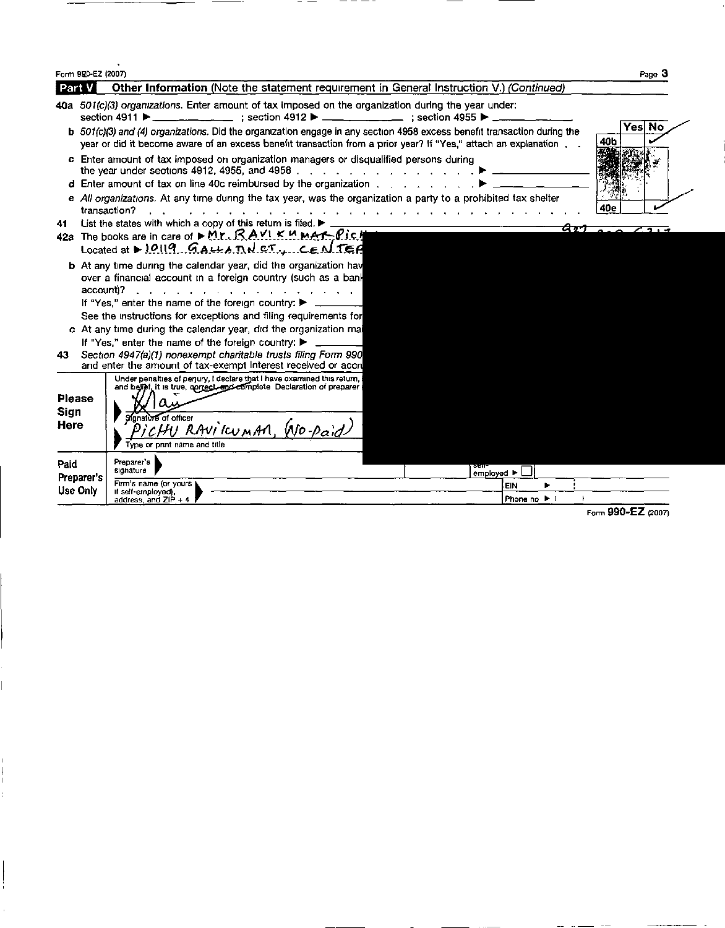|                               | Form 920-EZ (2007) |                                                                                                                                                                                                                                                                                                   |                                         | Page 3         |
|-------------------------------|--------------------|---------------------------------------------------------------------------------------------------------------------------------------------------------------------------------------------------------------------------------------------------------------------------------------------------|-----------------------------------------|----------------|
| Part                          |                    | Other Information (Note the statement requirement in General Instruction V.) (Continued)                                                                                                                                                                                                          |                                         |                |
|                               |                    | 40a 501(c)(3) organizations. Enter amount of tax imposed on the organization during the year under:<br>section 4911 $\blacktriangleright$ ____________________ : section 4912 $\blacktriangleright$ ____________________ : section 4955 $\blacktriangleright$ _                                   |                                         |                |
|                               |                    | b 501(c)(3) and (4) organizations. Did the organization engage in any section 4958 excess benefit transaction during the<br>year or did it become aware of an excess benefit transaction from a prior year? If "Yes," attach an explanation                                                       |                                         | Yesl No<br>40b |
|                               |                    | c Enter amount of tax imposed on organization managers or disqualified persons during                                                                                                                                                                                                             |                                         |                |
|                               |                    | d Enter amount of tax on line 40c reimbursed by the organization $\ldots$                                                                                                                                                                                                                         |                                         |                |
|                               |                    | e All organizations. At any time during the tax year, was the organization a party to a prohibited tax shelter<br>transaction?                                                                                                                                                                    |                                         | 40e            |
| 41                            |                    | List the states with which a copy of this return is filed. I                                                                                                                                                                                                                                      |                                         |                |
|                               |                    | 42a The books are in care of ► M.r. R.A.VI.K.M.MAT-Pic.H<br>Located at $\triangleright$ 10119 GALLA TN CT., CENTER                                                                                                                                                                                |                                         |                |
|                               | account)?          | <b>b</b> At any time during the calendar year, did the organization have<br>over a financial account in a foreign country (such as a bank<br>and a strain and a strain and<br>If "Yes," enter the name of the foreign country:<br>See the instructions for exceptions and filing requirements for |                                         |                |
|                               |                    | c At any time during the calendar year, did the organization mai                                                                                                                                                                                                                                  |                                         |                |
|                               |                    | If "Yes," enter the name of the foreign country: ▶                                                                                                                                                                                                                                                |                                         |                |
| 43.                           |                    | Section 4947(a)(1) nonexempt charitable trusts filing Form 990<br>and enter the amount of tax-exempt interest received or accru                                                                                                                                                                   |                                         |                |
| <b>Please</b><br>Sign<br>Here |                    | Under penalties of perjury, I declare that I have examined this return,<br>and belief, it is true, correct, and complete Declaration of preparer<br>Signature of officer<br>HU RAVICUMAN, WO-Paid<br>Type or print name and title                                                                 |                                         |                |
| Paid                          | Preparer's         | Preparer's<br>signature<br>employed $\blacktriangleright$                                                                                                                                                                                                                                         |                                         |                |
| Use Only                      |                    | Firm's name (or yours )<br>if self-employed).<br>address and ZIP + 4                                                                                                                                                                                                                              | EIN<br>Phone no $\blacktriangleright$ ( |                |

 $-$ 

Form 990-EZ (2007)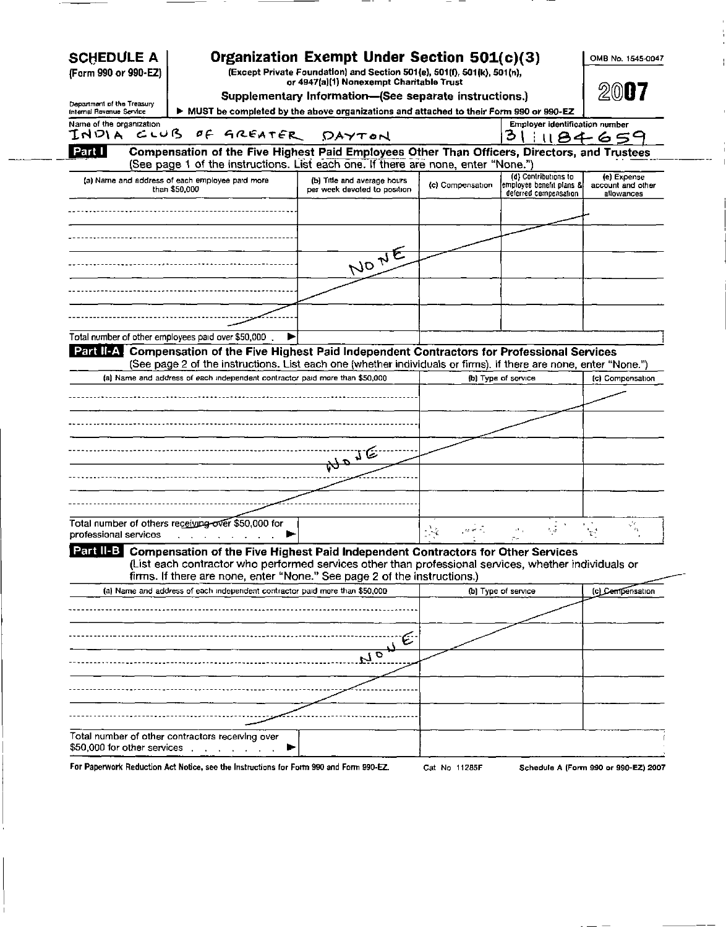| <b>SCHEDULE A</b><br>(Form 990 or 990-EZ)              |                                                                                                                                                                                                                        | Organization Exempt Under Section 501(c)(3)<br>(Except Private Foundation) and Section 501(e), 501(f), 501(k), 501(h),<br>or 4947(a)(1) Nonexempt Charitable Trust | OMB No. 1545-0047 |                                                     |                                 |
|--------------------------------------------------------|------------------------------------------------------------------------------------------------------------------------------------------------------------------------------------------------------------------------|--------------------------------------------------------------------------------------------------------------------------------------------------------------------|-------------------|-----------------------------------------------------|---------------------------------|
|                                                        |                                                                                                                                                                                                                        | Supplementary Information-(See separate instructions.)                                                                                                             |                   |                                                     | $200$ uz                        |
| Department of the Treasury<br>Internal Revenue Service |                                                                                                                                                                                                                        | MUST be completed by the above organizations and attached to their Form 990 or 990-EZ                                                                              |                   |                                                     |                                 |
| Name of the organization                               |                                                                                                                                                                                                                        |                                                                                                                                                                    |                   | <b>Employer identification number</b>               |                                 |
| INDIA CLUB                                             | OF GREATER                                                                                                                                                                                                             | DAYTON                                                                                                                                                             |                   | З                                                   | 1184650                         |
| Part I                                                 | Compensation of the Five Highest Paid Employees Other Than Officers, Directors, and Trustees                                                                                                                           |                                                                                                                                                                    |                   |                                                     |                                 |
|                                                        | (See page 1 of the instructions. List each one. If there are none, enter "None.")                                                                                                                                      |                                                                                                                                                                    |                   | (d) Contributions to                                | (e) Expense                     |
|                                                        | (a) Name and address of each employee paid more<br>than \$50,000                                                                                                                                                       | (b) Title and average hours<br>per week devoted to position                                                                                                        | (c) Compensation  | [employee benefit plans &]<br>deferred compensation | account and other<br>allowances |
|                                                        |                                                                                                                                                                                                                        |                                                                                                                                                                    |                   |                                                     |                                 |
|                                                        |                                                                                                                                                                                                                        |                                                                                                                                                                    |                   |                                                     |                                 |
|                                                        |                                                                                                                                                                                                                        |                                                                                                                                                                    |                   |                                                     |                                 |
|                                                        |                                                                                                                                                                                                                        | NONE                                                                                                                                                               |                   |                                                     |                                 |
|                                                        |                                                                                                                                                                                                                        |                                                                                                                                                                    |                   |                                                     |                                 |
|                                                        |                                                                                                                                                                                                                        |                                                                                                                                                                    |                   |                                                     |                                 |
|                                                        | Total number of other employees paid over \$50,000.                                                                                                                                                                    |                                                                                                                                                                    |                   |                                                     |                                 |
|                                                        | Part II-A. Compensation of the Five Highest Paid Independent Contractors for Professional Services<br>(See page 2 of the instructions. List each one (whether individuals or firms). If there are none, enter "None.") |                                                                                                                                                                    |                   |                                                     |                                 |
|                                                        | (a) Name and address of each independent contractor paid more than \$50,000                                                                                                                                            |                                                                                                                                                                    |                   | (b) Type of service                                 | (c) Compensation                |
|                                                        |                                                                                                                                                                                                                        |                                                                                                                                                                    |                   |                                                     |                                 |
|                                                        |                                                                                                                                                                                                                        |                                                                                                                                                                    |                   |                                                     |                                 |
|                                                        |                                                                                                                                                                                                                        |                                                                                                                                                                    |                   |                                                     |                                 |
|                                                        |                                                                                                                                                                                                                        |                                                                                                                                                                    |                   |                                                     |                                 |
|                                                        |                                                                                                                                                                                                                        |                                                                                                                                                                    |                   |                                                     |                                 |
|                                                        |                                                                                                                                                                                                                        |                                                                                                                                                                    |                   |                                                     |                                 |
|                                                        |                                                                                                                                                                                                                        |                                                                                                                                                                    |                   |                                                     |                                 |
|                                                        |                                                                                                                                                                                                                        |                                                                                                                                                                    |                   |                                                     |                                 |
|                                                        |                                                                                                                                                                                                                        |                                                                                                                                                                    |                   |                                                     |                                 |
|                                                        | Total number of others receiving over \$50,000 for                                                                                                                                                                     |                                                                                                                                                                    | رام الموارد       | $\mathcal{A} \in \mathcal{A}$<br>h q                | $\mathbf{r}_\mathrm{R}$         |
|                                                        | Part II-B Compensation of the Five Highest Paid Independent Contractors for Other Services<br>List each contractor who performed services other than professional services, whether individuals or                     |                                                                                                                                                                    |                   |                                                     |                                 |
|                                                        | firms. If there are none, enter "None." See page 2 of the instructions.)                                                                                                                                               |                                                                                                                                                                    |                   |                                                     |                                 |
|                                                        | (a) Name and address of each independent contractor paid more than \$50,000                                                                                                                                            |                                                                                                                                                                    |                   | (b) Type of service                                 | (c) Cempensation                |
|                                                        |                                                                                                                                                                                                                        |                                                                                                                                                                    |                   |                                                     |                                 |
|                                                        |                                                                                                                                                                                                                        |                                                                                                                                                                    |                   |                                                     |                                 |
|                                                        |                                                                                                                                                                                                                        |                                                                                                                                                                    |                   |                                                     |                                 |
|                                                        |                                                                                                                                                                                                                        | $\overline{r_{1o}}$                                                                                                                                                |                   |                                                     |                                 |
|                                                        |                                                                                                                                                                                                                        |                                                                                                                                                                    |                   |                                                     |                                 |
|                                                        |                                                                                                                                                                                                                        |                                                                                                                                                                    |                   |                                                     |                                 |
| professional services                                  |                                                                                                                                                                                                                        |                                                                                                                                                                    |                   |                                                     |                                 |
| \$50,000 for other services.                           | Total number of other contractors receiving over                                                                                                                                                                       |                                                                                                                                                                    |                   |                                                     |                                 |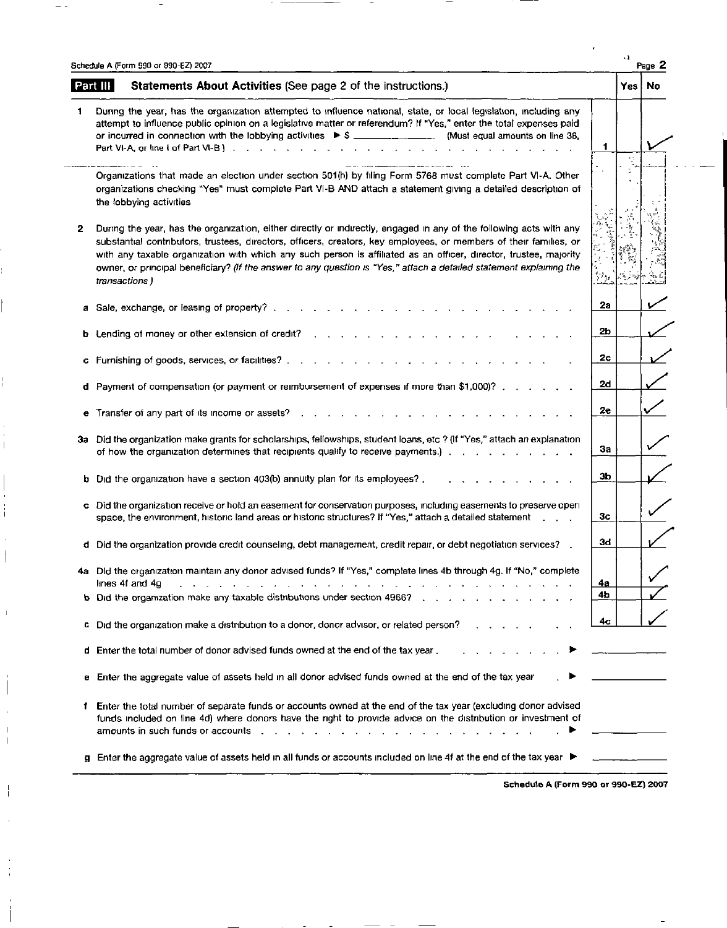|    | Schedule A (Form 990 or 990-EZ) 2007                                                                                                                                                                                                                                                                                                                                                                                                                                                                    |          | Page 2 |
|----|---------------------------------------------------------------------------------------------------------------------------------------------------------------------------------------------------------------------------------------------------------------------------------------------------------------------------------------------------------------------------------------------------------------------------------------------------------------------------------------------------------|----------|--------|
|    | Part III<br>Statements About Activities (See page 2 of the instructions.)                                                                                                                                                                                                                                                                                                                                                                                                                               | Yes   No |        |
| 1  | During the year, has the organization attempted to influence national, state, or local legislation, including any<br>attempt to influence public opinion on a legislative matter or referendum? If "Yes," enter the total expenses paid<br>or incurred in connection with the lobbying activities $\triangleright$ \$ ______________________(Must equal amounts on line 38,<br>1                                                                                                                        |          |        |
|    |                                                                                                                                                                                                                                                                                                                                                                                                                                                                                                         |          |        |
|    | Organizations that made an election under section 501(h) by filing Form 5768 must complete Part VI-A. Other<br>organizations checking "Yes" must complete Part VI-B AND attach a statement giving a detailed description of<br>the lobbying activities                                                                                                                                                                                                                                                  |          |        |
| 2  | During the year, has the organization, either directly or indirectly, engaged in any of the following acts with any<br>substantial contributors, trustees, directors, officers, creators, key employees, or members of their families, or<br>with any taxable organization with which any such person is affiliated as an officer, director, trustee, majority<br>owner, or principal beneficiary? (If the answer to any question is "Yes," attach a detailed statement explaining the<br>transactions) |          |        |
|    | 2a                                                                                                                                                                                                                                                                                                                                                                                                                                                                                                      |          |        |
| b, | 2b<br>Lending of money or other extension of credit?                                                                                                                                                                                                                                                                                                                                                                                                                                                    |          |        |
|    | 2с                                                                                                                                                                                                                                                                                                                                                                                                                                                                                                      |          |        |
| d  | 2d<br>Payment of compensation (or payment or reimbursement of expenses if more than \$1,000)?                                                                                                                                                                                                                                                                                                                                                                                                           |          |        |
| е  | 2e<br>Transfer of any part of its income or assets?<br>$\mathbf{r}$ , and a set of the set of the set of the set of the set of the set of the set of the set of the set of the set of the set of the set of the set of the set of the set of the set of the set of the set of the set of                                                                                                                                                                                                                |          |        |
|    | 3a Did the organization make grants for scholarships, fellowships, student loans, etc ? (If "Yes," attach an explanation<br>Зa<br>of how the organization determines that recipients qualify to receive payments.)                                                                                                                                                                                                                                                                                      |          |        |
| b. | ЗЬ<br>Did the organization have a section 403(b) annuity plan for its employees?.                                                                                                                                                                                                                                                                                                                                                                                                                       |          |        |
| c  | Did the organization receive or hold an easement for conservation purposes, including easements to preserve open<br>Зc<br>space, the environment, historic land areas or historic structures? If "Yes," attach a detailed statement                                                                                                                                                                                                                                                                     |          |        |
| d  | 34<br>Did the organization provide credit counseling, debt management, credit repair, or debt negotiation services?                                                                                                                                                                                                                                                                                                                                                                                     |          |        |
|    | 4a Did the organization maintain any donor advised funds? If "Yes," complete lines 4b through 4g. If "No," complete<br>lines 4f and 4g<br>the contract of the contract of the contract of the contract of the contract of the contract of the contract of the contract of the contract of the contract of the contract of the contract of the contract of the contract o<br><u>4a</u>                                                                                                                   |          |        |
|    | 4b<br><b>b</b> Did the organization make any taxable distributions under section 4966?                                                                                                                                                                                                                                                                                                                                                                                                                  |          |        |
| c  | 4с<br>Did the organization make a distribution to a donor, donor advisor, or related person?                                                                                                                                                                                                                                                                                                                                                                                                            |          |        |
|    | d Enter the total number of donor advised funds owned at the end of the tax year.                                                                                                                                                                                                                                                                                                                                                                                                                       |          |        |
|    | e Enter the aggregate value of assets held in all donor advised funds owned at the end of the tax year                                                                                                                                                                                                                                                                                                                                                                                                  |          |        |
|    | Enter the total number of separate funds or accounts owned at the end of the tax year (excluding donor advised<br>funds included on line 4d) where donors have the right to provide advice on the distribution or investment of                                                                                                                                                                                                                                                                         |          |        |
|    | g Enter the aggregate value of assets held in all funds or accounts included on line 4f at the end of the tax year ▶                                                                                                                                                                                                                                                                                                                                                                                    |          |        |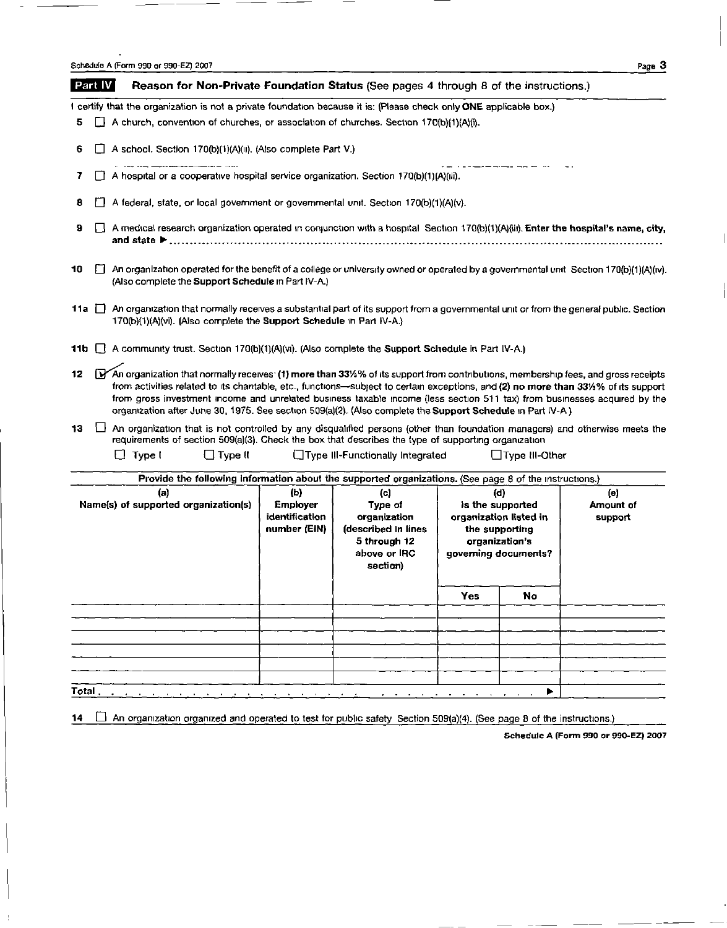| Schedule A (Form 990 or 990-EZ) 2007 | Page, |  |
|--------------------------------------|-------|--|
|                                      |       |  |

| Part IV |                                                                                                                                                                                                                                                                                                                                                              |               |                                                                      |  | Reason for Non-Private Foundation Status (See pages 4 through 8 of the instructions.)                                                                                                                                                                                                                                                                                                                                                                                                                              |     |                  |  |
|---------|--------------------------------------------------------------------------------------------------------------------------------------------------------------------------------------------------------------------------------------------------------------------------------------------------------------------------------------------------------------|---------------|----------------------------------------------------------------------|--|--------------------------------------------------------------------------------------------------------------------------------------------------------------------------------------------------------------------------------------------------------------------------------------------------------------------------------------------------------------------------------------------------------------------------------------------------------------------------------------------------------------------|-----|------------------|--|
|         |                                                                                                                                                                                                                                                                                                                                                              |               |                                                                      |  | I certify that the organization is not a private foundation because it is: (Please check only ONE applicable box.)                                                                                                                                                                                                                                                                                                                                                                                                 |     |                  |  |
| 5       |                                                                                                                                                                                                                                                                                                                                                              |               |                                                                      |  | A church, convention of churches, or association of churches. Section 170(b)(1)(A)(i),                                                                                                                                                                                                                                                                                                                                                                                                                             |     |                  |  |
| 6       |                                                                                                                                                                                                                                                                                                                                                              |               | A school. Section 170(b)(1)(A)(u). (Also complete Part V.)           |  |                                                                                                                                                                                                                                                                                                                                                                                                                                                                                                                    |     |                  |  |
| 7       | A hospital or a cooperative hospital service organization. Section 170(b)(1)(A)(iii).                                                                                                                                                                                                                                                                        |               |                                                                      |  |                                                                                                                                                                                                                                                                                                                                                                                                                                                                                                                    |     |                  |  |
| 8       |                                                                                                                                                                                                                                                                                                                                                              |               |                                                                      |  | A federal, state, or local government or governmental unit. Section 170(b)(1)(A)(v).                                                                                                                                                                                                                                                                                                                                                                                                                               |     |                  |  |
| 9       |                                                                                                                                                                                                                                                                                                                                                              |               |                                                                      |  | $\Box$ A medical research organization operated in conjunction with a hospital Section 170(b)(1)(A)(iii). Enter the hospital's name, city,                                                                                                                                                                                                                                                                                                                                                                         |     |                  |  |
| 10      |                                                                                                                                                                                                                                                                                                                                                              |               | (Also complete the Support Schedule in Part IV-A.)                   |  | An organization operated for the benefit of a college or university owned or operated by a governmental unit Section 170(b)(1)(A)(iv).                                                                                                                                                                                                                                                                                                                                                                             |     |                  |  |
| 11a ∐   |                                                                                                                                                                                                                                                                                                                                                              |               | 170(b)(1)(A)(vi). (Also complete the Support Schedule in Part IV-A.) |  | An organization that normally receives a substantial part of its support from a governmental unit or from the general public. Section                                                                                                                                                                                                                                                                                                                                                                              |     |                  |  |
| 11b.    |                                                                                                                                                                                                                                                                                                                                                              |               |                                                                      |  | A community trust. Section 170(b)(1)(A)(vi). (Also complete the Support Schedule in Part IV-A.)                                                                                                                                                                                                                                                                                                                                                                                                                    |     |                  |  |
| 12      | l H                                                                                                                                                                                                                                                                                                                                                          |               |                                                                      |  | An organization that normally receives: (1) more than 33%% of its support from contributions, membership fees, and gross receipts<br>from activities related to its charitable, etc., functions-subject to certain exceptions, and (2) no more than 33%% of its support<br>from gross investment income and unrelated business taxable income (less section 511 tax) from businesses acquired by the<br>organization after June 30, 1975. See section 509(a)(2). (Also complete the Support Schedule in Part IV-A) |     |                  |  |
| 13      |                                                                                                                                                                                                                                                                                                                                                              |               |                                                                      |  | An organization that is not controlled by any disqualified persons (other than foundation managers) and otherwise meets the<br>requirements of section 509(a)(3). Check the box that describes the type of supporting organization                                                                                                                                                                                                                                                                                 |     |                  |  |
|         |                                                                                                                                                                                                                                                                                                                                                              | $\Box$ Type I | $\Box$ Type II                                                       |  | □ Type III-Functionally Integrated                                                                                                                                                                                                                                                                                                                                                                                                                                                                                 |     | □ Type III-Other |  |
|         |                                                                                                                                                                                                                                                                                                                                                              |               |                                                                      |  | Provide the following information about the supported organizations. (See page 8 of the instructions.)                                                                                                                                                                                                                                                                                                                                                                                                             |     |                  |  |
|         | (e)<br>(a)<br>(b)<br>(c)<br>(d)<br>Name(s) of supported organization(s)<br><b>Employer</b><br>Type of<br>is the supported<br>Amount of<br>identification<br>organization<br>organization listed in<br>support<br>(described in lines<br>number (EIN)<br>the supporting<br>5 through 12<br>organization's<br>above or IRC<br>governing documents?<br>section) |               |                                                                      |  |                                                                                                                                                                                                                                                                                                                                                                                                                                                                                                                    |     |                  |  |
|         |                                                                                                                                                                                                                                                                                                                                                              |               |                                                                      |  |                                                                                                                                                                                                                                                                                                                                                                                                                                                                                                                    | Yes | No               |  |
|         |                                                                                                                                                                                                                                                                                                                                                              |               |                                                                      |  |                                                                                                                                                                                                                                                                                                                                                                                                                                                                                                                    |     |                  |  |
|         |                                                                                                                                                                                                                                                                                                                                                              |               |                                                                      |  |                                                                                                                                                                                                                                                                                                                                                                                                                                                                                                                    |     |                  |  |
|         |                                                                                                                                                                                                                                                                                                                                                              |               |                                                                      |  |                                                                                                                                                                                                                                                                                                                                                                                                                                                                                                                    |     |                  |  |
| Total . |                                                                                                                                                                                                                                                                                                                                                              |               |                                                                      |  |                                                                                                                                                                                                                                                                                                                                                                                                                                                                                                                    |     | ▶                |  |

14 **q** An organization organized and operated to test for public safety Section 509(a)(4). (See page 8 of the instructions.)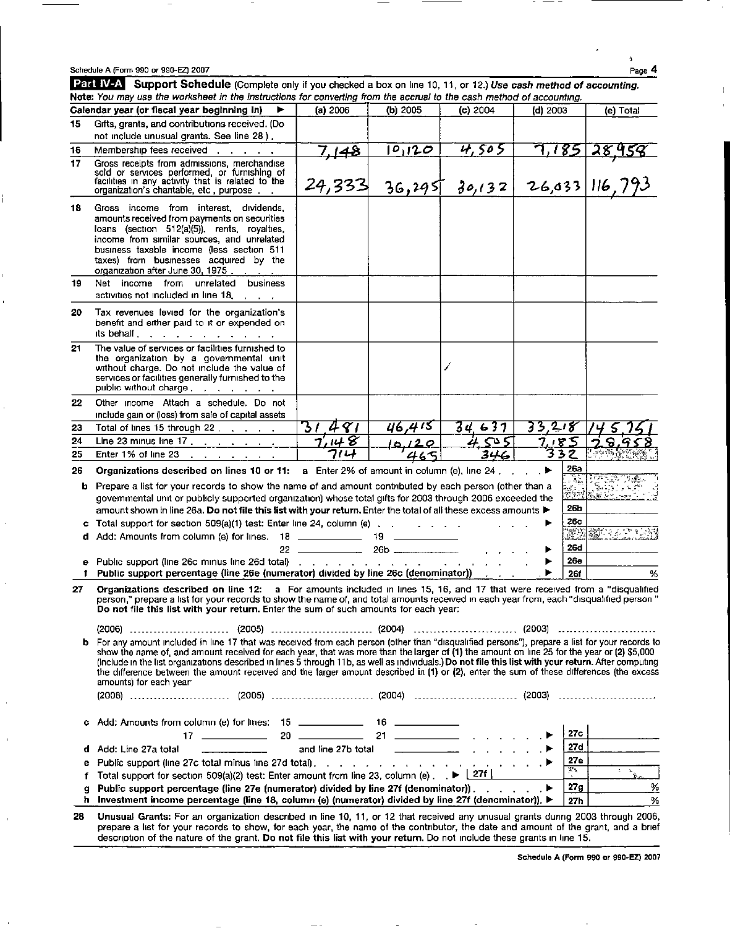| Schedule A (Form 990 or 990-EZ) 2007 | Page 4 |
|--------------------------------------|--------|
|--------------------------------------|--------|

i

Part IV-A Support Schedule (Complete only if you checked a box on line 10, 11, or 12.) Use cash method of accounting. Note: You may use the worksheet in the instructions for converting from the accrual to the cash method of accounting. Calendar year (or fiscal year beginning in) ► (a) 2006 (b) 2005 (c) 2004 (d) 2003 (e) Total 15 Gifts, grants, and contributions received. (Do not include unusual grants. See line 28). 16 Membership fees received 7, 148  $\vert$  0, 120  $\vert$  4, 505 7, 185 Gross receipts from admissions, merchandise sold or services performed, or furnishing of<br>facilities in any activity that is related to the<br>organization's chantable, etc , purpose  $24,333$  36,295 30,132 26,033 116

18 Gross income from interest, dividends, amounts received from payments on securities loans (section 512(a)(5)), rents, royalties, income from similar sources, and unrelated business taxable income (less section 511 taxes) from businesses acquired by the

organization after June 30, 1975. 19 Net income from unrelated business activities not included in line 18. 20 Tax revenues levied for the organization's benefit and either paid to it or expended on its behalf . . . . . . . . . . . 21 The value of services or facilities furnished to

the organization by a governmental unit without charge. Do not include the value of services or facilities generally furnished to the public without charge . . . . . . . . 22 Other income Attach a schedule. Do not include gain or (loss) from sale of capital assets

| 23  | Total of lines 15 through 22                                                                                                                                                                                                                                                                                                                                           |     | U6.415 |     |     |  |
|-----|------------------------------------------------------------------------------------------------------------------------------------------------------------------------------------------------------------------------------------------------------------------------------------------------------------------------------------------------------------------------|-----|--------|-----|-----|--|
| 24  |                                                                                                                                                                                                                                                                                                                                                                        | 148 | 0120   | cυ  |     |  |
| 25. | Enter 1% of line 23                                                                                                                                                                                                                                                                                                                                                    | つルト |        | 346 |     |  |
| 26. | Organizations described on lines 10 or 11: a Enter 2% of amount in column (e), line 24,                                                                                                                                                                                                                                                                                |     |        |     | 26а |  |
|     | <b>b</b> Prepare a list for your records to show the name of and amount contributed by each person (other than a<br>governmental unit or publicly supported organization) whose total gifts for 2003 through 2006 exceeded the<br>armount shown in line 26a. Do not file this list with your return. Enter the total of all these excess amounts $\blacktriangleright$ |     |        |     | 26b |  |
|     | c Total support for section $509(a)(1)$ test: Enter line 24, column (e) $\ldots$ $\ldots$                                                                                                                                                                                                                                                                              |     |        |     | 26c |  |

d Add: Amounts from column (e) for lines. 18 19 <sup>i</sup> - <sup>i</sup> <sup>22</sup> 26b . . . . ► 26d <sup>e</sup> Public support (line 26c minus line 26d total) . . . . . . . . . . . . . . . ► 26e Fublic support percentage (line 26e (numerator) divided by line 26c (denominator)) . . . . . . | > 26f | . . . %

27 Organizations described on line 12: a For amounts included in lines 15, 16, and 17 that were received from a "disqualified" person," prepare a list for your records to show the name of, and total amounts received in each year from, each "disqualified person " Do not file this list with your return . Enter the sum of such amounts for each year:

(2006) ------------------------- (2005) (2004) -------------------------- (2003) ------------------------ b For any amount included in line 17 that was received from each person (other than "disqualified persons"), prepare a list for your records to show the name of, and amount received for each year, that was more than the larger of (1) the amount on line 25 for the year or (2) \$5,000 (Include in the list organizations described in lines 5 through 11b, as well as individuals.) Do not file this list with your return. After computing the difference between the amount received and the larger amount described in (1) or (2), enter the sum of these differences (the excess amounts) for each year-

| c Add: Amounts from column (e) for lines: 15 ______________ 16 _________________                                                           |       |   |
|--------------------------------------------------------------------------------------------------------------------------------------------|-------|---|
|                                                                                                                                            | 27c   |   |
| and line 27b total $\frac{1}{2}$ and line 27b total<br>d Add: Line 27a total $\qquad \qquad \qquad$                                        | 27d   |   |
| e Public support (line 27c total minus line 27d total). $\ldots$ $\ldots$ $\ldots$ $\ldots$ $\ldots$ $\ldots$ $\ldots$                     | 27e   |   |
| <b>f</b> Total support for section 509(a)(2) test: Enter amount from line 23, column (e) $\rightarrow$ $\blacktriangleright$ $\lfloor$ 27f | $2\,$ |   |
| g Public support percentage (line 27e (numerator) divided by line 27f (denominator)). $\blacktriangleright$                                | 27g   | % |
| h Investment income percentage (line 18, column (e) (numerator) divided by line 27f (denominator)). $\blacktriangleright$                  | 27h   | % |

28 Unusual Grants: For an organization described in line 10, 11, or 12 that received any unusual grants during 2003 through 2006, prepare a list for your records to show, for each year, the name of the contributor, the date and amount of the grant, and <sup>a</sup> brief description of the nature of the grant. Do not file this list with your return. Do not include these grants in line 15.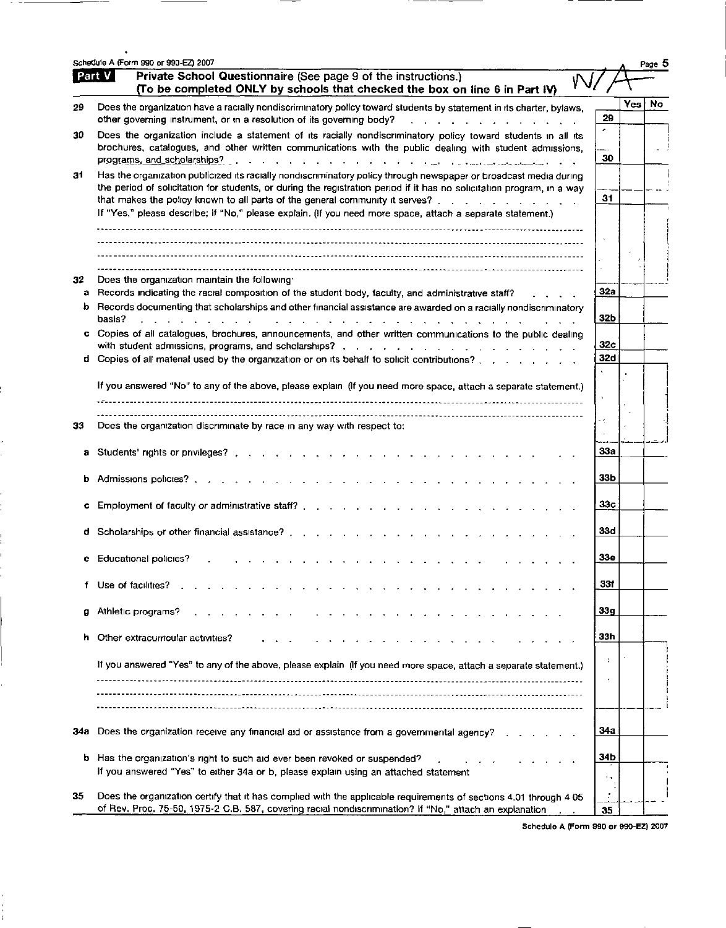|         | Schedule A (Form 990 or 990-EZ) 2007                                                                                                                                                                                                                                                                                                                                                                                                      |                 |            | Page 5 |
|---------|-------------------------------------------------------------------------------------------------------------------------------------------------------------------------------------------------------------------------------------------------------------------------------------------------------------------------------------------------------------------------------------------------------------------------------------------|-----------------|------------|--------|
|         | Part V<br>Private School Questionnaire (See page 9 of the instructions.)<br>${\cal W}$<br>(To be completed ONLY by schools that checked the box on line 6 in Part IV)                                                                                                                                                                                                                                                                     |                 |            |        |
| 29      | Does the organization have a racially nondiscriminatory policy toward students by statement in its charter, bylaws,<br>other governing instrument, or in a resolution of its governing body?<br>.                                                                                                                                                                                                                                         | 29              | <b>Yes</b> | No     |
| 30      | Does the organization include a statement of its racially nondiscriminatory policy toward students in all its<br>brochures, catalogues, and other written communications with the public dealing with student admissions,                                                                                                                                                                                                                 | ý.<br>30        |            |        |
| 31      | Has the organization publicized its racially nondiscriminatory policy through newspaper or broadcast media during<br>the period of solicitation for students, or during the registration period if it has no solicitation program, in a way<br>that makes the policy known to all parts of the general community it serves?<br>If "Yes," please describe; if "No," please explain. (If you need more space, attach a separate statement.) | 31              |            |        |
|         |                                                                                                                                                                                                                                                                                                                                                                                                                                           |                 |            |        |
|         |                                                                                                                                                                                                                                                                                                                                                                                                                                           |                 |            |        |
| 32<br>а | Does the organization maintain the following<br>Records indicating the racial composition of the student body, faculty, and administrative staff?                                                                                                                                                                                                                                                                                         | 32a             |            |        |
|         | b Records documenting that scholarships and other financial assistance are awarded on a racially nondiscriminatory<br>basis?<br>$\mathbf{r}$ . The set of the set of the set of the set of the set of the set of the set of the set of the set of the set of the set of the set of the set of the set of the set of the set of the set of the set of the set of t                                                                         | 32 <sub>b</sub> |            |        |
|         | c Copies of all catalogues, brochures, announcements, and other written communications to the public dealing                                                                                                                                                                                                                                                                                                                              | 32 <sub>c</sub> |            |        |
|         | d Copies of all material used by the organization or on its behalf to solicit contributions?                                                                                                                                                                                                                                                                                                                                              | 32d             |            |        |
|         | If you answered "No" to any of the above, please explain (If you need more space, attach a separate statement.)                                                                                                                                                                                                                                                                                                                           |                 |            |        |
| 33      | Does the organization discriminate by race in any way with respect to:                                                                                                                                                                                                                                                                                                                                                                    | - 4             |            |        |
| a       |                                                                                                                                                                                                                                                                                                                                                                                                                                           | 33a             |            |        |
| b       | Admissions policies?                                                                                                                                                                                                                                                                                                                                                                                                                      | 33b             |            |        |
| c       |                                                                                                                                                                                                                                                                                                                                                                                                                                           | 33с             |            |        |
| d       | Scholarships or other financial assistance?                                                                                                                                                                                                                                                                                                                                                                                               | 33d             |            |        |
|         | Educational policies?                                                                                                                                                                                                                                                                                                                                                                                                                     | 33e             |            |        |
| f.      | Use of facilities?                                                                                                                                                                                                                                                                                                                                                                                                                        | 33f             |            |        |
| g       | Athletic programs?                                                                                                                                                                                                                                                                                                                                                                                                                        | ვვშ             |            |        |
| h       | Other extracurricular activities?                                                                                                                                                                                                                                                                                                                                                                                                         | 33h             |            |        |
|         | If you answered "Yes" to any of the above, please explain (If you need more space, attach a separate statement.)                                                                                                                                                                                                                                                                                                                          |                 |            |        |
|         |                                                                                                                                                                                                                                                                                                                                                                                                                                           |                 |            |        |
| 34a     | Does the organization receive any financial aid or assistance from a governmental agency?                                                                                                                                                                                                                                                                                                                                                 | 34a             |            |        |
| b.      | Has the organization's right to such aid ever been revoked or suspended?                                                                                                                                                                                                                                                                                                                                                                  | 34b             |            |        |
| 35      | If you answered "Yes" to either 34a or b, please explain using an attached statement<br>Does the organization certify that it has complied with the applicable requirements of sections 4.01 through 4.05                                                                                                                                                                                                                                 | 1.3             |            |        |
|         | of Rev. Proc. 75-50, 1975-2 C.B. 587, covering racial nondiscrimination? If "No," attach an explanation                                                                                                                                                                                                                                                                                                                                   | 35              |            |        |

J,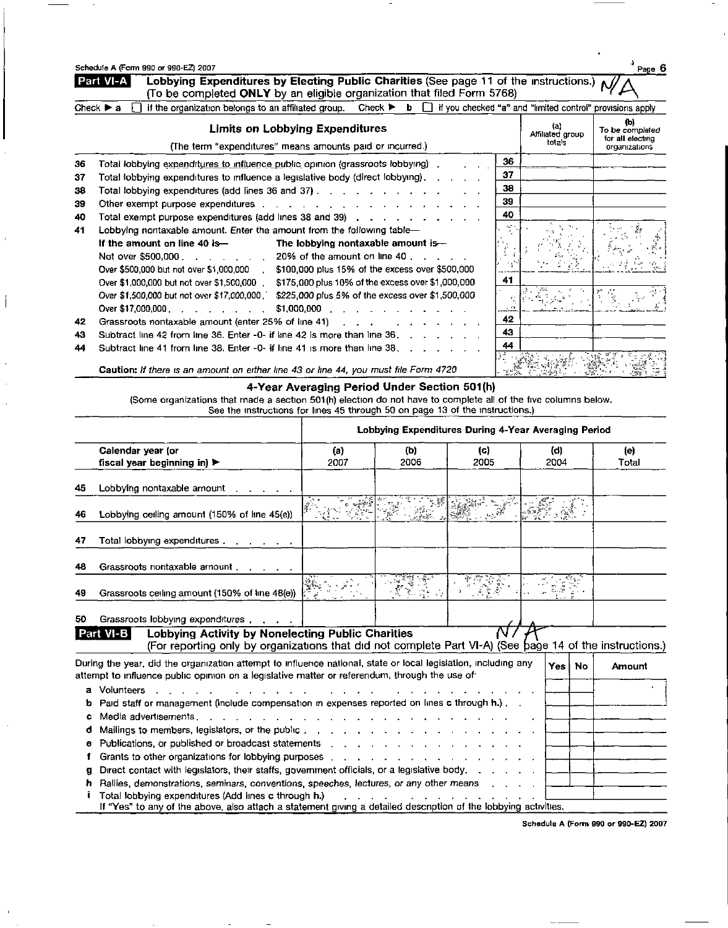|    | Lobbying Expenditures by Electing Public Charities (See page 11 of the instructions.) $\Lambda$<br>Part VI-A<br>(To be completed ONLY by an eligible organization that filed Form 5768)                                                                                                     |    |                                   |                                                             |
|----|---------------------------------------------------------------------------------------------------------------------------------------------------------------------------------------------------------------------------------------------------------------------------------------------|----|-----------------------------------|-------------------------------------------------------------|
|    | Check $\triangleright$ b $\Box$ if you checked "a" and "limited control" provisions apply<br>Check $\blacktriangleright$ a<br>if the organization belongs to an affiliated group.                                                                                                           |    |                                   |                                                             |
|    | Limits on Lobbying Expenditures<br>(The term "expenditures" means amounts paid or incurred.)                                                                                                                                                                                                |    | (a)<br>Affiliated group<br>totals | (b)<br>To be completed<br>for all electing<br>organizations |
| 36 | Total lobbying expenditures to influence public opinion (grassroots lobbying)                                                                                                                                                                                                               | 36 |                                   |                                                             |
| 37 | Total lobbying expenditures to influence a legislative body (direct lobbying),                                                                                                                                                                                                              | 37 |                                   |                                                             |
| 38 | Total lobbying expenditures (add lines 36 and 37) $\ldots$ $\ldots$ $\ldots$ $\ldots$                                                                                                                                                                                                       | 38 |                                   |                                                             |
| 39 | Other exempt purpose expenditures contains a substitution of the state of the state of the state of the state of                                                                                                                                                                            | 39 |                                   |                                                             |
| 40 | Total exempt purpose expenditures (add lines 38 and 39) $\,$ , $\,$ , $\,$ , $\,$ , $\,$ , $\,$ , $\,$ , $\,$ , $\,$                                                                                                                                                                        | 40 |                                   |                                                             |
| 41 | Lobbying nontaxable amount. Enter the amount from the following table-                                                                                                                                                                                                                      |    |                                   |                                                             |
|    | If the amount on line 40 is—<br>The lobbying nontaxable amount is-                                                                                                                                                                                                                          |    |                                   |                                                             |
|    | Not over \$500,000<br>$\therefore$ $\therefore$ 20% of the amount on line 40 $\therefore$ $\therefore$                                                                                                                                                                                      |    |                                   |                                                             |
|    | Over \$500,000 but not over \$1,000,000<br>\$100,000 plus 15% of the excess over \$500,000                                                                                                                                                                                                  |    |                                   |                                                             |
|    | \$175,000 plus 10% of the excess over \$1,000,000<br>Over \$1,000,000 but not over \$1,500,000 .                                                                                                                                                                                            | 41 |                                   |                                                             |
|    | \$225,000 plus 5% of the excess over \$1,500,000<br>Over \$1,500,000 but not over \$17,000,000                                                                                                                                                                                              |    |                                   |                                                             |
|    | Over \$17,000,000                                                                                                                                                                                                                                                                           |    |                                   |                                                             |
| 42 | Grassroots nontaxable amount (enter 25% of line 41)<br>$\mathbf{r}$ and $\mathbf{r}$ are the set of the set of the set of the set of the set of the set of the set of the set of the set of the set of the set of the set of the set of the set of the set of the set of the set of the set | 42 |                                   |                                                             |
| 43 | Subtract line 42 from line 36. Enter -0- if line 42 is more than line $36.$ $\ldots$ $\ldots$                                                                                                                                                                                               | 43 |                                   |                                                             |
| 44 | Subtract line 41 from line 38. Enter -0- if line 41 is more than line 38.                                                                                                                                                                                                                   | 44 |                                   |                                                             |
|    |                                                                                                                                                                                                                                                                                             |    |                                   |                                                             |

**Caution:** If there is an amount on either line 43 or line 44, you must file Form 4720  $\begin{bmatrix} \frac{1}{2} & \frac{1}{2} & \frac{1}{2} & \frac{1}{2} & \frac{1}{2} & \frac{1}{2} \\ \frac{1}{2} & \frac{1}{2} & \frac{1}{2} & \frac{1}{2} & \frac{1}{2} & \frac{1}{2} \\ \frac{1}{2} & \frac{1}{2} & \frac{1}{2} & \frac{1}{2}$ 

4-Year Averaging Period Under Section 501(h)

(Some organizations that made a section 501(h) election do not have to complete all of the five columns below. See the instructions for lines 45 through 50 on page 13 of the instructions.)

|        |                                                                                                                                                                                                                                                                                                                                                                                                                         | Lobbying Expenditures During 4-Year Averaging Period |             |             |             |     |               |  |
|--------|-------------------------------------------------------------------------------------------------------------------------------------------------------------------------------------------------------------------------------------------------------------------------------------------------------------------------------------------------------------------------------------------------------------------------|------------------------------------------------------|-------------|-------------|-------------|-----|---------------|--|
|        | Calendar year (or<br>fiscal year beginning in) $\blacktriangleright$                                                                                                                                                                                                                                                                                                                                                    | (a)<br>2007                                          | (b)<br>2006 | (c)<br>2005 | (d)<br>2004 |     | (e)<br>Total  |  |
| 45     | Lobbying nontaxable amount                                                                                                                                                                                                                                                                                                                                                                                              |                                                      |             |             |             |     |               |  |
| 46     | Lobbying ceiling amount (150% of line 45(e))                                                                                                                                                                                                                                                                                                                                                                            |                                                      |             |             |             |     |               |  |
| 47     | Total lobbying expenditures                                                                                                                                                                                                                                                                                                                                                                                             |                                                      |             |             |             |     |               |  |
| 48     | Grassroots nontaxable amount                                                                                                                                                                                                                                                                                                                                                                                            |                                                      |             |             |             |     |               |  |
| 49     | Grassroots ceiling amount (150% of line 48(e))                                                                                                                                                                                                                                                                                                                                                                          |                                                      |             |             |             |     |               |  |
| 50     | Grassroots lobbying expenditures expenditures                                                                                                                                                                                                                                                                                                                                                                           |                                                      |             |             |             |     |               |  |
|        | Lobbying Activity by Nonelecting Public Charities<br>Part VI-B<br>(For reporting only by organizations that did not complete Part VI-A) (See bage 14 of the instructions.)                                                                                                                                                                                                                                              |                                                      |             |             |             |     |               |  |
|        | During the year, did the organization attempt to influence national, state or local legislation, including any<br>attempt to influence public opinion on a legislative matter or referendum, through the use of                                                                                                                                                                                                         |                                                      |             |             | Yes İ       | No. | <b>Amount</b> |  |
| ъ      | a Volunteers<br>the contract of the contract of the<br>Paid staff or management (include compensation in expenses reported on lines c through h.),                                                                                                                                                                                                                                                                      |                                                      |             |             |             |     |               |  |
| c      | Media advertisements.                                                                                                                                                                                                                                                                                                                                                                                                   |                                                      |             |             |             |     |               |  |
| e      | Publications, or published or broadcast statements [1] [1] [1] $\ldots$ [1] [1] $\ldots$ [1] [1] $\ldots$ [1] $\ldots$ [1] $\ldots$ [1] $\ldots$ [1] $\ldots$ [1] $\ldots$ [1] $\ldots$ [1] $\ldots$ [1] $\ldots$ [1] $\ldots$ [1] $\ldots$ [1] $\ldots$ [1] $\ldots$ [1]                                                                                                                                               |                                                      |             |             |             |     |               |  |
| α<br>ħ | Grants to other organizations for lobbying purposes entitled by the content of the content of the content of the content of the content of the content of the content of the content of the content of the content of the cont<br>Direct contact with legislators, their staffs, government officials, or a legislative body.<br>Rallies, demonstrations, seminars, conventions, speeches, lectures, or any other means |                                                      |             |             |             |     |               |  |
|        | Total lobbying expenditures (Add lines c through h.)<br>If "Yes" to any of the above, also attach a statement giving a detailed description of the lobbying activities.                                                                                                                                                                                                                                                 |                                                      |             |             |             |     |               |  |